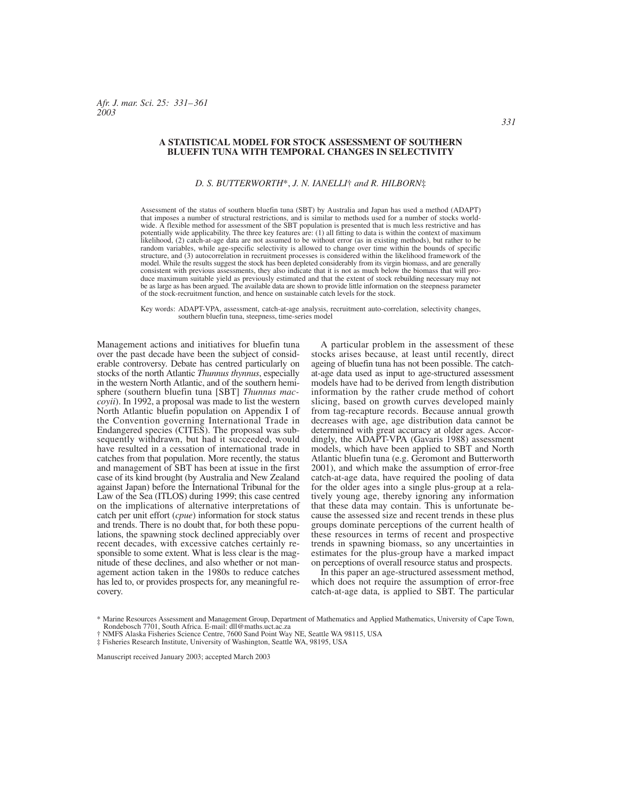*Afr. J. mar. Sci. 25: 331–361 2003*

## **A STATISTICAL MODEL FOR STOCK ASSESSMENT OF SOUTHERN BLUEFIN TUNA WITH TEMPORAL CHANGES IN SELECTIVITY**

### *D. S. BUTTERWORTH*\*, *J. N. IANELLI*† *and R. HILBORN*‡

Assessment of the status of southern bluefin tuna (SBT) by Australia and Japan has used a method (ADAPT) that imposes a number of structural restrictions, and is similar to methods used for a number of stocks worldwide. A flexible method for assessment of the SBT population is presented that is much less restrictive and has potentially wide applicability. The three key features are: (1) all fitting to data is within the context of maximum likelihood, (2) catch-at-age data are not assumed to be without error (as in existing methods), but rather to be random variables, while age-specific selectivity is allowed to change over time within the bounds of specific structure, and (3) autocorrelation in recruitment processes is considered within the likelihood framework of the model. While the results suggest the stock has been depleted considerably from its virgin biomass, and are generally consistent with previous assessments, they also indicate that it is not as much below the biomass that will produce maximum suitable yield as previously estimated and that the extent of stock rebuilding necessary may not be as large as has been argued. The available data are shown to provide little information on the steepness parameter of the stock-recruitment function, and hence on sustainable catch levels for the stock.

Key words: ADAPT-VPA, assessment, catch-at-age analysis, recruitment auto-correlation, selectivity changes, southern bluefin tuna, steepness, time-series model

Management actions and initiatives for bluefin tuna over the past decade have been the subject of considerable controversy. Debate has centred particularly on stocks of the north Atlantic *Thunnus thynnus*, especially in the western North Atlantic, and of the southern hemisphere (southern bluefin tuna [SBT] *Thunnus maccoyii*). In 1992, a proposal was made to list the western North Atlantic bluefin population on Appendix I of the Convention governing International Trade in Endangered species (CITES). The proposal was subsequently withdrawn, but had it succeeded, would have resulted in a cessation of international trade in catches from that population. More recently, the status and management of SBT has been at issue in the first case of its kind brought (by Australia and New Zealand against Japan) before the International Tribunal for the Law of the Sea (ITLOS) during 1999; this case centred on the implications of alternative interpretations of catch per unit effort (*cpue*) information for stock status and trends. There is no doubt that, for both these populations, the spawning stock declined appreciably over recent decades, with excessive catches certainly responsible to some extent. What is less clear is the magnitude of these declines, and also whether or not management action taken in the 1980s to reduce catches has led to, or provides prospects for, any meaningful recovery.

A particular problem in the assessment of these stocks arises because, at least until recently, direct ageing of bluefin tuna has not been possible. The catchat-age data used as input to age-structured assessment models have had to be derived from length distribution information by the rather crude method of cohort slicing, based on growth curves developed mainly from tag-recapture records. Because annual growth decreases with age, age distribution data cannot be determined with great accuracy at older ages. Accordingly, the ADAPT-VPA (Gavaris 1988) assessment models, which have been applied to SBT and North Atlantic bluefin tuna (e.g. Geromont and Butterworth 2001), and which make the assumption of error-free catch-at-age data, have required the pooling of data for the older ages into a single plus-group at a relatively young age, thereby ignoring any information that these data may contain. This is unfortunate because the assessed size and recent trends in these plus groups dominate perceptions of the current health of these resources in terms of recent and prospective trends in spawning biomass, so any uncertainties in estimates for the plus-group have a marked impact on perceptions of overall resource status and prospects.

In this paper an age-structured assessment method, which does not require the assumption of error-free catch-at-age data, is applied to SBT. The particular

Manuscript received January 2003; accepted March 2003

<sup>\*</sup> Marine Resources Assessment and Management Group, Department of Mathematics and Applied Mathematics, University of Cape Town, Rondebosch 7701, South Africa. E-mail: dll@maths.uct.ac.za

<sup>†</sup> NMFS Alaska Fisheries Science Centre, 7600 Sand Point Way NE, Seattle WA 98115, USA

<sup>‡</sup> Fisheries Research Institute, University of Washington, Seattle WA, 98195, USA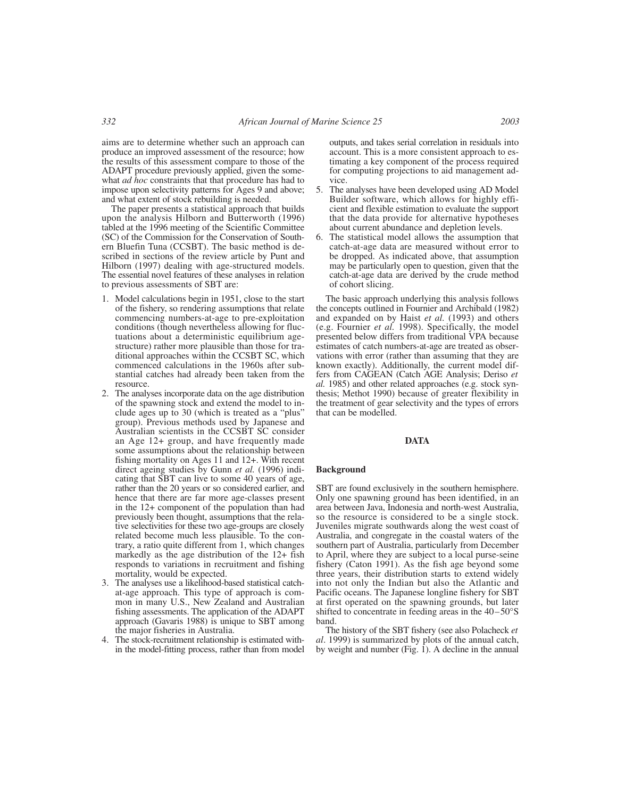aims are to determine whether such an approach can produce an improved assessment of the resource; how the results of this assessment compare to those of the ADAPT procedure previously applied, given the somewhat *ad hoc* constraints that that procedure has had to impose upon selectivity patterns for Ages 9 and above; and what extent of stock rebuilding is needed.

The paper presents a statistical approach that builds upon the analysis Hilborn and Butterworth (1996) tabled at the 1996 meeting of the Scientific Committee (SC) of the Commission for the Conservation of Southern Bluefin Tuna (CCSBT). The basic method is described in sections of the review article by Punt and Hilborn (1997) dealing with age-structured models. The essential novel features of these analyses in relation to previous assessments of SBT are:

- 1. Model calculations begin in 1951, close to the start of the fishery, so rendering assumptions that relate commencing numbers-at-age to pre-exploitation conditions (though nevertheless allowing for fluctuations about a deterministic equilibrium agestructure) rather more plausible than those for traditional approaches within the CCSBT SC, which commenced calculations in the 1960s after substantial catches had already been taken from the resource.
- 2. The analyses incorporate data on the age distribution of the spawning stock and extend the model to include ages up to 30 (which is treated as a "plus" group). Previous methods used by Japanese and Australian scientists in the CCSBT SC consider an Age 12+ group, and have frequently made some assumptions about the relationship between fishing mortality on Ages 11 and 12+. With recent direct ageing studies by Gunn *et al.* (1996) indicating that SBT can live to some 40 years of age, rather than the 20 years or so considered earlier, and hence that there are far more age-classes present in the 12+ component of the population than had previously been thought, assumptions that the relative selectivities for these two age-groups are closely related become much less plausible. To the contrary, a ratio quite different from 1, which changes markedly as the age distribution of the 12+ fish responds to variations in recruitment and fishing mortality, would be expected.
- 3. The analyses use a likelihood-based statistical catchat-age approach. This type of approach is common in many U.S., New Zealand and Australian fishing assessments. The application of the ADAPT approach (Gavaris 1988) is unique to SBT among the major fisheries in Australia.
- 4. The stock-recruitment relationship is estimated within the model-fitting process, rather than from model

outputs, and takes serial correlation in residuals into account. This is a more consistent approach to estimating a key component of the process required for computing projections to aid management advice.

- 5. The analyses have been developed using AD Model Builder software, which allows for highly efficient and flexible estimation to evaluate the support that the data provide for alternative hypotheses about current abundance and depletion levels.
- 6. The statistical model allows the assumption that catch-at-age data are measured without error to be dropped. As indicated above, that assumption may be particularly open to question, given that the catch-at-age data are derived by the crude method of cohort slicing.

The basic approach underlying this analysis follows the concepts outlined in Fournier and Archibald (1982) and expanded on by Haist *et al.* (1993) and others (e.g. Fournier *et al.* 1998). Specifically, the model presented below differs from traditional VPA because estimates of catch numbers-at-age are treated as observations with error (rather than assuming that they are known exactly). Additionally, the current model differs from CAGEAN (Catch AGE Analysis; Deriso *et al.* 1985) and other related approaches (e.g. stock synthesis; Methot 1990) because of greater flexibility in the treatment of gear selectivity and the types of errors that can be modelled.

### **DATA**

### **Background**

SBT are found exclusively in the southern hemisphere. Only one spawning ground has been identified, in an area between Java, Indonesia and north-west Australia, so the resource is considered to be a single stock. Juveniles migrate southwards along the west coast of Australia, and congregate in the coastal waters of the southern part of Australia, particularly from December to April, where they are subject to a local purse-seine fishery (Caton 1991). As the fish age beyond some three years, their distribution starts to extend widely into not only the Indian but also the Atlantic and Pacific oceans. The Japanese longline fishery for SBT at first operated on the spawning grounds, but later shifted to concentrate in feeding areas in the 40–50°S band.

The history of the SBT fishery (see also Polacheck *et al*. 1999) is summarized by plots of the annual catch, by weight and number (Fig. 1). A decline in the annual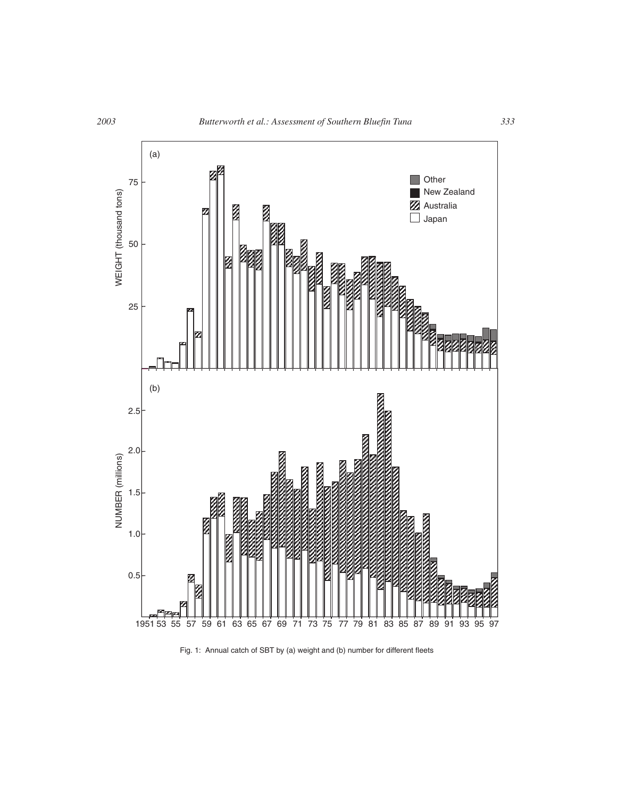

Fig. 1: Annual catch of SBT by (a) weight and (b) number for different fleets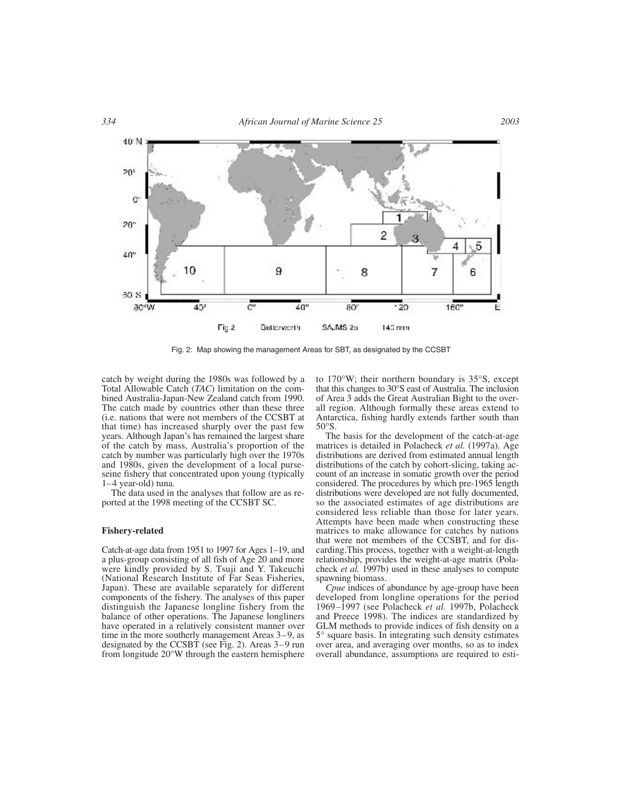

Fig. 2: Map showing the management Areas for SBT, as designated by the CCSBT

catch by weight during the 1980s was followed by a Total Allowable Catch (*TAC*) limitation on the combined Australia-Japan-New Zealand catch from 1990. The catch made by countries other than these three (i.e. nations that were not members of the CCSBT at that time) has increased sharply over the past few years. Although Japan's has remained the largest share of the catch by mass, Australia's proportion of the catch by number was particularly high over the 1970s and 1980s, given the development of a local purseseine fishery that concentrated upon young (typically 1–4 year-old) tuna.

The data used in the analyses that follow are as reported at the 1998 meeting of the CCSBT SC.

### **Fishery-related**

Catch-at-age data from 1951 to 1997 for Ages 1–19, and a plus-group consisting of all fish of Age 20 and more were kindly provided by S. Tsuji and Y. Takeuchi (National Research Institute of Far Seas Fisheries, Japan). These are available separately for different components of the fishery. The analyses of this paper distinguish the Japanese longline fishery from the balance of other operations. The Japanese longliners have operated in a relatively consistent manner over time in the more southerly management Areas 3–9, as designated by the CCSBT (see Fig. 2). Areas 3–9 run from longitude 20°W through the eastern hemisphere

to 170°W; their northern boundary is 35°S, except that this changes to 30°S east of Australia. The inclusion of Area 3 adds the Great Australian Bight to the overall region. Although formally these areas extend to Antarctica, fishing hardly extends farther south than 50°S.

The basis for the development of the catch-at-age matrices is detailed in Polacheck *et al.* (1997a). Age distributions are derived from estimated annual length distributions of the catch by cohort-slicing, taking account of an increase in somatic growth over the period considered. The procedures by which pre-1965 length distributions were developed are not fully documented, so the associated estimates of age distributions are considered less reliable than those for later years. Attempts have been made when constructing these matrices to make allowance for catches by nations that were not members of the CCSBT, and for discarding.This process, together with a weight-at-length relationship, provides the weight-at-age matrix (Polacheck *et al.* 1997b) used in these analyses to compute spawning biomass.

*Cpue* indices of abundance by age-group have been developed from longline operations for the period 1969–1997 (see Polacheck *et al.* 1997b, Polacheck and Preece 1998). The indices are standardized by GLM methods to provide indices of fish density on a 5° square basis. In integrating such density estimates over area, and averaging over months, so as to index overall abundance, assumptions are required to esti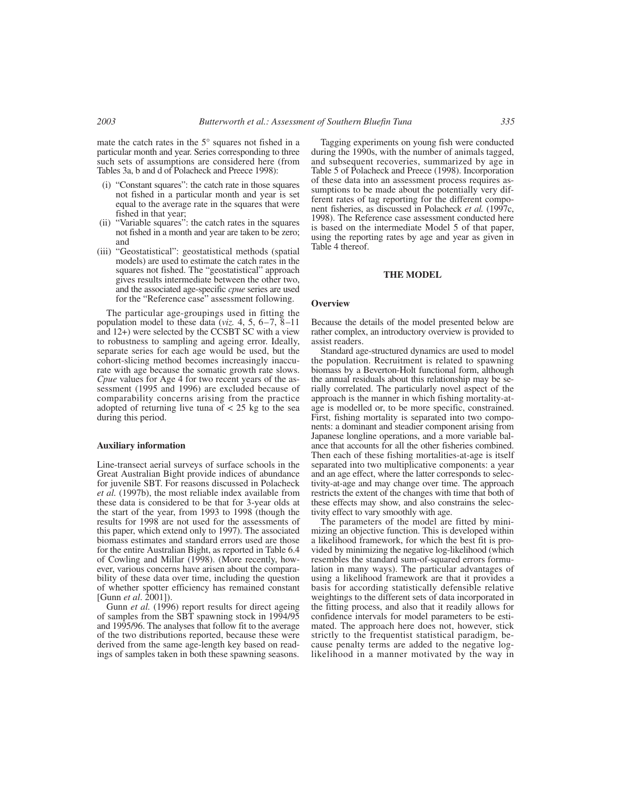mate the catch rates in the 5° squares not fished in a particular month and year. Series corresponding to three such sets of assumptions are considered here (from Tables 3a, b and d of Polacheck and Preece 1998):

- (i) "Constant squares": the catch rate in those squares not fished in a particular month and year is set equal to the average rate in the squares that were fished in that year;
- (ii) "Variable squares": the catch rates in the squares not fished in a month and year are taken to be zero; and
- (iii) "Geostatistical": geostatistical methods (spatial models) are used to estimate the catch rates in the squares not fished. The "geostatistical" approach gives results intermediate between the other two, and the associated age-specific *cpue* series are used for the "Reference case" assessment following.

The particular age-groupings used in fitting the population model to these data (*viz.* 4, 5, 6–7, 8–11 and 12+) were selected by the CCSBT SC with a view to robustness to sampling and ageing error. Ideally, separate series for each age would be used, but the cohort-slicing method becomes increasingly inaccurate with age because the somatic growth rate slows. *Cpue* values for Age 4 for two recent years of the assessment (1995 and 1996) are excluded because of comparability concerns arising from the practice adopted of returning live tuna of  $\lt$  25 kg to the sea during this period.

# **Auxiliary information**

Line-transect aerial surveys of surface schools in the Great Australian Bight provide indices of abundance for juvenile SBT. For reasons discussed in Polacheck *et al.* (1997b), the most reliable index available from these data is considered to be that for 3-year olds at the start of the year, from 1993 to 1998 (though the results for 1998 are not used for the assessments of this paper, which extend only to 1997). The associated biomass estimates and standard errors used are those for the entire Australian Bight, as reported in Table 6.4 of Cowling and Millar (1998). (More recently, however, various concerns have arisen about the comparability of these data over time, including the question of whether spotter efficiency has remained constant [Gunn *et al*. 2001]).

Gunn *et al.* (1996) report results for direct ageing of samples from the SBT spawning stock in 1994/95 and 1995/96. The analyses that follow fit to the average of the two distributions reported, because these were derived from the same age-length key based on readings of samples taken in both these spawning seasons.

Tagging experiments on young fish were conducted during the 1990s, with the number of animals tagged, and subsequent recoveries, summarized by age in Table 5 of Polacheck and Preece (1998). Incorporation of these data into an assessment process requires assumptions to be made about the potentially very different rates of tag reporting for the different component fisheries, as discussed in Polacheck *et al.* (1997c, 1998). The Reference case assessment conducted here is based on the intermediate Model 5 of that paper, using the reporting rates by age and year as given in Table 4 thereof.

## **THE MODEL**

### **Overview**

Because the details of the model presented below are rather complex, an introductory overview is provided to assist readers.

Standard age-structured dynamics are used to model the population. Recruitment is related to spawning biomass by a Beverton-Holt functional form, although the annual residuals about this relationship may be serially correlated. The particularly novel aspect of the approach is the manner in which fishing mortality-atage is modelled or, to be more specific, constrained. First, fishing mortality is separated into two components: a dominant and steadier component arising from Japanese longline operations, and a more variable balance that accounts for all the other fisheries combined. Then each of these fishing mortalities-at-age is itself separated into two multiplicative components: a year and an age effect, where the latter corresponds to selectivity-at-age and may change over time. The approach restricts the extent of the changes with time that both of these effects may show, and also constrains the selectivity effect to vary smoothly with age.

The parameters of the model are fitted by minimizing an objective function. This is developed within a likelihood framework, for which the best fit is provided by minimizing the negative log-likelihood (which resembles the standard sum-of-squared errors formulation in many ways). The particular advantages of using a likelihood framework are that it provides a basis for according statistically defensible relative weightings to the different sets of data incorporated in the fitting process, and also that it readily allows for confidence intervals for model parameters to be estimated. The approach here does not, however, stick strictly to the frequentist statistical paradigm, because penalty terms are added to the negative loglikelihood in a manner motivated by the way in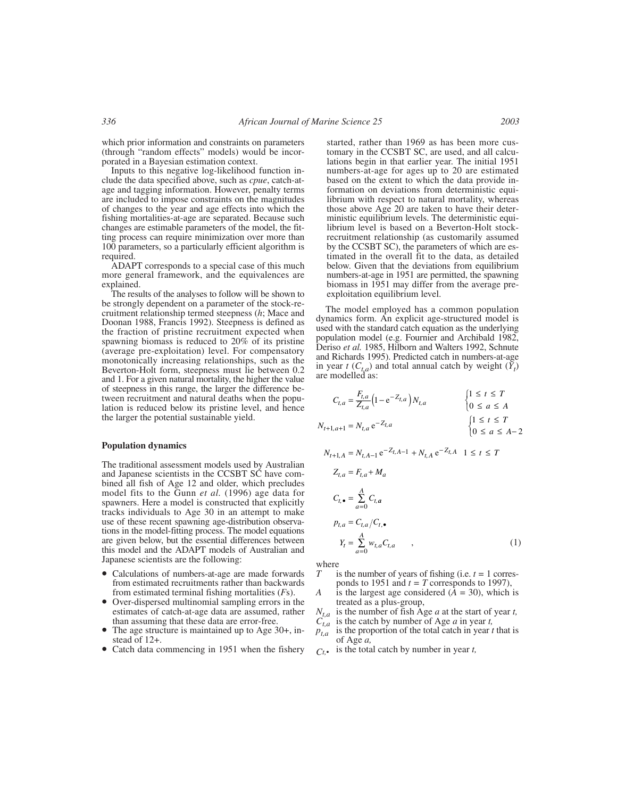which prior information and constraints on parameters (through "random effects" models) would be incorporated in a Bayesian estimation context.

Inputs to this negative log-likelihood function include the data specified above, such as *cpue*, catch-atage and tagging information. However, penalty terms are included to impose constraints on the magnitudes of changes to the year and age effects into which the fishing mortalities-at-age are separated. Because such changes are estimable parameters of the model, the fitting process can require minimization over more than 100 parameters, so a particularly efficient algorithm is required.

ADAPT corresponds to a special case of this much more general framework, and the equivalences are explained.

The results of the analyses to follow will be shown to be strongly dependent on a parameter of the stock-recruitment relationship termed steepness (*h*; Mace and Doonan 1988, Francis 1992). Steepness is defined as the fraction of pristine recruitment expected when spawning biomass is reduced to 20% of its pristine (average pre-exploitation) level. For compensatory monotonically increasing relationships, such as the Beverton-Holt form, steepness must lie between 0.2 and 1. For a given natural mortality, the higher the value of steepness in this range, the larger the difference between recruitment and natural deaths when the population is reduced below its pristine level, and hence the larger the potential sustainable yield.

# **Population dynamics**

The traditional assessment models used by Australian and Japanese scientists in the CCSBT SC have combined all fish of Age 12 and older, which precludes model fits to the Gunn *et al.* (1996) age data for spawners. Here a model is constructed that explicitly tracks individuals to Age 30 in an attempt to make use of these recent spawning age-distribution observations in the model-fitting process. The model equations are given below, but the essential differences between this model and the ADAPT models of Australian and Japanese scientists are the following:

- Calculations of numbers-at-age are made forwards from estimated recruitments rather than backwards from estimated terminal fishing mortalities  $(Fs)$ .
- Over-dispersed multinomial sampling errors in the estimates of catch-at-age data are assumed, rather than assuming that these data are error-free.
- The age structure is maintained up to Age 30+, in-
- stead of 12+.<br>Catch data commencing in 1951 when the fishery

started, rather than 1969 as has been more customary in the CCSBT SC, are used, and all calculations begin in that earlier year. The initial 1951 numbers-at-age for ages up to 20 are estimated based on the extent to which the data provide information on deviations from deterministic equilibrium with respect to natural mortality, whereas those above Age 20 are taken to have their deterministic equilibrium levels. The deterministic equilibrium level is based on a Beverton-Holt stockrecruitment relationship (as customarily assumed by the CCSBT SC), the parameters of which are estimated in the overall fit to the data, as detailed below. Given that the deviations from equilibrium numbers-at-age in 1951 are permitted, the spawning biomass in 1951 may differ from the average preexploitation equilibrium level.

The model employed has a common population dynamics form. An explicit age-structured model is used with the standard catch equation as the underlying population model (e.g. Fournier and Archibald 1982, Deriso *et al.* 1985, Hilborn and Walters 1992, Schnute and Richards 1995). Predicted catch in numbers-at-age in year *t* ( $C_{t,a}$ ) and total annual catch by weight ( $\hat{Y}_t$ ) are modelled as:

$$
C_{t,a} = \frac{F_{t,a}}{Z_{t,a}} \left( 1 - e^{-Z_{t,a}} \right) N_{t,a} \qquad \begin{cases} 1 \le t \le T \\ 0 \le a \le A \end{cases}
$$
  

$$
N_{t+1,a+1} = N_{t,a} e^{-Z_{t,a}} \qquad \begin{cases} 1 \le t \le T \\ 0 \le a \le A-2 \end{cases}
$$

$$
N_{t+1,A} = N_{t,A-1} e^{-Z_{t,A-1}} + N_{t,A} e^{-Z_{t,A}} \quad 1 \le t \le T
$$
  
\n
$$
Z_{t,a} = F_{t,a} + M_a
$$
  
\n
$$
C_{t,\bullet} = \sum_{a=0}^{A} C_{t,a}
$$
  
\n
$$
p_{t,a} = C_{t,a} / C_{t,\bullet}
$$
  
\n
$$
Y_t = \sum_{a=0}^{A} w_{t,a} C_{t,a} \qquad , \qquad (1)
$$

- where  $T$  is is the number of years of fishing (i.e.  $t = 1$  corresponds to 1951 and  $t = T$  corresponds to 1997),
- *A* is the largest age considered  $(A = 30)$ , which is treated as a plus-group,
- $N_{t,a}$  is the number of fish Age *a* at the start of year *t*,  $C_{t,a}$  is the catch by number of Age *a* in year *t*,
- 
- $C_{t,a}$  is the catch by number of Age *a* in year *t*,  $p_{t,a}$  is the proportion of the total catch in year *t* is the proportion of the total catch in year  $t$  that is of Age *a,*
- *Ct,•* is the total catch by number in year *t,*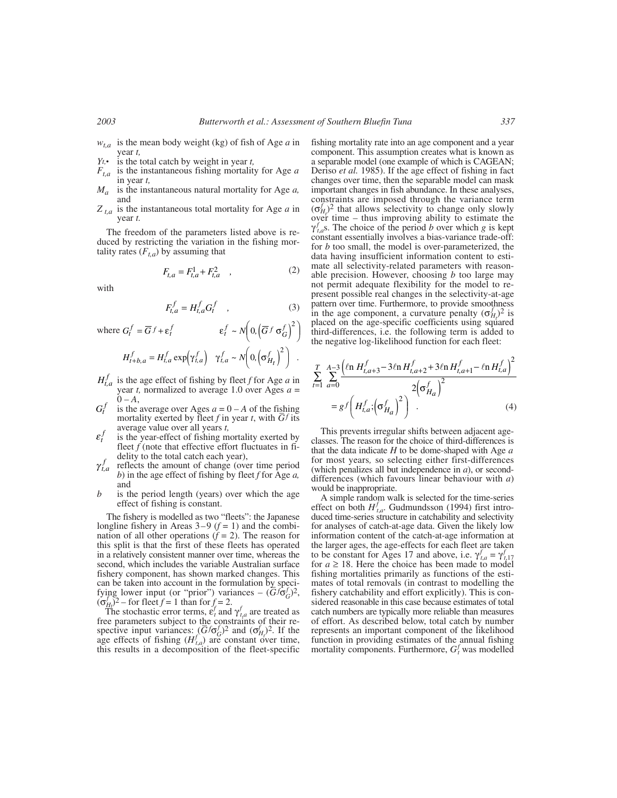- $w_{t,a}$  is the mean body weight (kg) of fish of Age *a* in year *t,*
- *Yt,•* is the total catch by weight in year *t,*
- $F_{t,a}$  is the instantaneous fishing mortality for Age  $a$ in year *t,*
- *Ma* is the instantaneous natural mortality for Age *a,* and
- $Z_{t,a}$  is the instantaneous total mortality for Age  $a$  in year *t.*

The freedom of the parameters listed above is reduced by restricting the variation in the fishing mortality rates  $(F_{t,a})$  by assuming that

$$
F_{t,a} = F_{t,a}^1 + F_{t,a}^2 \quad , \tag{2}
$$

with

$$
F_{t,a}^f = H_{t,a}^f G_t^f \quad , \tag{3}
$$

where 
$$
G_t^f = \overline{G} f + \varepsilon_t^f
$$
  $\varepsilon_t^f \sim N \left( 0, \left( \overline{G} f \sigma_G^f \right)^2 \right)$   

$$
H_{t+b,a}^f = H_{t,a}^f \exp \left( \gamma_{t,a}^f \right) \quad \gamma_{t,a}^f \sim N \left( 0, \left( \sigma_{H_t}^f \right)^2 \right) \ .
$$

- $H_{t,a}^f$  is the age effect of fishing by fleet *f* for Age *a* in year *t*, normalized to average 1.0 over Ages  $a =$  $0 - A$ ,
- is the average over Ages  $a = 0 A$  of the fishing is the average over Ages  $a = 0 - A$  of the fishing<br>mortality exerted by fleet *f* in year *t*, with  $\overline{G}f$  its average value over all years *t,*  $G_t^f$
- is the year-effect of fishing mortality exerted by fleet  $f$  (note that effective effort fluctuates in fidelity to the total catch each year),  $\varepsilon_t^f$
- $\gamma_{t,a}^f$  reflects the amount of change (over time period *b*) in the age effect of fishing by fleet *f* for Age *a,* and
- *b* is the period length (years) over which the age effect of fishing is constant.

The fishery is modelled as two "fleets": the Japanese longline fishery in Areas  $3-9$  ( $f = 1$ ) and the combination of all other operations  $(f = 2)$ . The reason for this split is that the first of these fleets has operated in a relatively consistent manner over time, whereas the second, which includes the variable Australian surface fishery component, has shown marked changes. This can be taken into account in the formulation by speci $f_{\text{avg}}$  lower input (or "prior") variances –  $(\overline{G}f_{\text{G}}f_{\text{G}}^f)$ ?<br>  $(\sigma_{\text{H}}^f)^2$  – for fleet *f* = 1 than for *f* = 2.

The stochastic error terms,  $\epsilon_t^f$  and  $\gamma_{t,a}^f$  are treated as free parameters subject to the constraints of their respective input variances:  $(\overline{G}f\sigma_G^f)^2$  and  $(\sigma_H^f)^2$ . If the age effects of fishing  $(H_{t,a}^f)$  are constant over time, this results in a decomposition of the fleet-specific fishing mortality rate into an age component and a year component. This assumption creates what is known as a separable model (one example of which is CAGEAN; Deriso *et al.* 1985). If the age effect of fishing in fact changes over time, then the separable model can mask important changes in fish abundance. In these analyses, constraints are imposed through the variance term  $({\sigma}_{H_1}^f)^2$  that allows selectivity to change only slowly over time – thus improving ability to estimate the  $\gamma_{t,a}^f$ S. The choice of the period *b* over which *g* is kept constant essentially involves a bias-variance trade-off: for *b* too small, the model is over-parameterized, the data having insufficient information content to estimate all selectivity-related parameters with reasonable precision. However, choosing *b* too large may not permit adequate flexibility for the model to represent possible real changes in the selectivity-at-age pattern over time. Furthermore, to provide smoothness in the age component, a curvature penalty  $(\sigma_{H_t}^f)^2$  is placed on the age-specific coefficients using squared third-differences, i.e. the following term is added to the negative log-likelihood function for each fleet:

$$
\sum_{t=1}^{T} \sum_{a=0}^{A-3} \frac{\left(\ln H_{t,a+3}^f - 3\ln H_{t,a+2}^f + 3\ln H_{t,a+1}^f - \ln H_{t,a}^f\right)^2}{2\left(\sigma_{H_a}^f\right)^2}
$$
\n
$$
= g^f \left(H_{t,a}^f; \left(\sigma_{H_a}^f\right)^2\right) . \tag{4}
$$

This prevents irregular shifts between adjacent ageclasses. The reason for the choice of third-differences is that the data indicate *H* to be dome-shaped with Age *a* for most years*,* so selecting either first-differences (which penalizes all but independence in *a*), or seconddifferences (which favours linear behaviour with *a*) would be inappropriate.

A simple random walk is selected for the time-series effect on both  $H_{t,a}^f$ . Gudmundsson (1994) first introduced time-series structure in catchability and selectivity for analyses of catch-at-age data. Given the likely low information content of the catch-at-age information at the larger ages, the age-effects for each fleet are taken to be constant for Ages 17 and above, i.e.  $\gamma_{t,a}^f = \gamma_{t,17}^f$ for  $a \ge 18$ . Here the choice has been made to model fishing mortalities primarily as functions of the estimates of total removals (in contrast to modelling the fishery catchability and effort explicitly). This is considered reasonable in this case because estimates of total catch numbers are typically more reliable than measures of effort. As described below, total catch by number represents an important component of the likelihood function in providing estimates of the annual fishing mortality components. Furthermore,  $G_t^f$  was modelled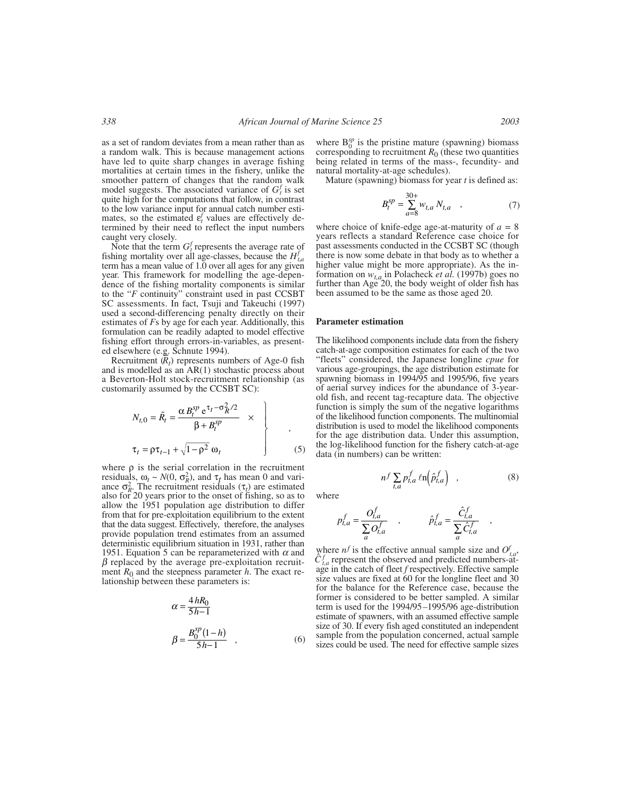as a set of random deviates from a mean rather than as a random walk. This is because management actions have led to quite sharp changes in average fishing mortalities at certain times in the fishery, unlike the smoother pattern of changes that the random walk model suggests. The associated variance of  $G_t^f$  is set quite high for the computations that follow, in contrast to the low variance input for annual catch number estimates, so the estimated  $\varepsilon_t^f$  values are effectively determined by their need to reflect the input numbers caught very closely.

Note that the term  $G_t^f$  represents the average rate of fishing mortality over all age-classes, because the  $H_{t,a}^f$ term has a mean value of 1.0 over all ages for any given year. This framework for modelling the age-dependence of the fishing mortality components is similar to the "*F* continuity" constraint used in past CCSBT SC assessments. In fact, Tsuji and Takeuchi (1997) used a second-differencing penalty directly on their estimates of *F*s by age for each year. Additionally, this formulation can be readily adapted to model effective fishing effort through errors-in-variables, as present-

ed elsewhere (e.g. Schnute 1994).<br>Recruitment  $(R_t)$  represents numbers of Age-0 fish and is modelled as an AR(1) stochastic process about a Beverton-Holt stock-recruitment relationship (as customarily assumed by the CCSBT SC):

$$
N_{t,0} = \tilde{R}_t = \frac{\alpha B_t^{sp} e^{\tau_t - \sigma_R^2/2}}{\beta + B_t^{sp}} \times \left\{\n\begin{array}{c}\n\tau_t = \rho \tau_{t-1} + \sqrt{1 - \rho^2} \omega_t\n\end{array}\n\right\} \tag{5}
$$

where  $\rho$  is the serial correlation in the recruitment residuals,  $\omega_t \sim N(0, \sigma_R^2)$ , and  $\tau_f$  has mean 0 and variance  $\sigma_R^2$ . The recruitment residuals  $(\tau_t)$  are estimated also for 20 years prior to the onset of fishing, so as to allow the 1951 population age distribution to differ from that for pre-exploitation equilibrium to the extent that the data suggest. Effectively, therefore, the analyses provide population trend estimates from an assumed deterministic equilibrium situation in 1931, rather than 1951. Equation 5 can be reparameterized with  $\alpha$  and  $\beta$  replaced by the average pre-exploitation recruitment  $R_0$  and the steepness parameter  $h$ . The exact relationship between these parameters is:

$$
\alpha = \frac{4hR_0}{5h-1}
$$
  

$$
\beta = \frac{B_0^{sp}(1-h)}{5h-1}
$$
, (6)

where  $B_0^{sp}$  is the pristine mature (spawning) biomass corresponding to recruitment  $R_0$  (these two quantities being related in terms of the mass-, fecundity- and natural mortality-at-age schedules).

Mature (spawning) biomass for year *t* is defined as:

$$
B_t^{sp} = \sum_{a=8}^{30+} w_{t,a} N_{t,a} \quad , \tag{7}
$$

where choice of knife-edge age-at-maturity of *a =* 8 years reflects a standard Reference case choice for past assessments conducted in the CCSBT SC (though there is now some debate in that body as to whether a higher value might be more appropriate). As the information on  $w_{t,a}$  in Polacheck *et al.* (1997b) goes no further than Age 20, the body weight of older fish has been assumed to be the same as those aged 20.

## **Parameter estimation**

The likelihood components include data from the fishery catch-at-age composition estimates for each of the two "fleets" considered, the Japanese longline *cpue* for various age-groupings, the age distribution estimate for spawning biomass in 1994/95 and 1995/96, five years of aerial survey indices for the abundance of 3-yearold fish, and recent tag-recapture data. The objective function is simply the sum of the negative logarithms of the likelihood function components. The multinomial distribution is used to model the likelihood components for the age distribution data. Under this assumption, the log-likelihood function for the fishery catch-at-age data (in numbers) can be written:

where

$$
p_{t,a}^f = \frac{O_{t,a}^f}{\sum_a O_{t,a}^f} , \qquad \hat{p}_{t,a}^f = \frac{\hat{C}_{t,a}^f}{\sum_a \hat{C}_{t,a}^f} ,
$$

 $n^f \sum p_{t,a}^f \ln \left( \hat{p}_{t,a}^f \right)$ ,

 $\sum_{t,a} p_{t,a}^J \ln \left( \hat{p}_{t,a}^J \right)$  , (8)

where *nf* is the effective annual sample size and  $O_{t,a}^f$ ,  $\hat{C}_{t,a}^f$  represent the observed and predicted numbers-atage in the catch of fleet *f* respectively. Effective sample size values are fixed at 60 for the longline fleet and 30 for the balance for the Reference case, because the former is considered to be better sampled. A similar term is used for the 1994/95–1995/96 age-distribution estimate of spawners, with an assumed effective sample size of 30. If every fish aged constituted an independent sample from the population concerned, actual sample sizes could be used. The need for effective sample sizes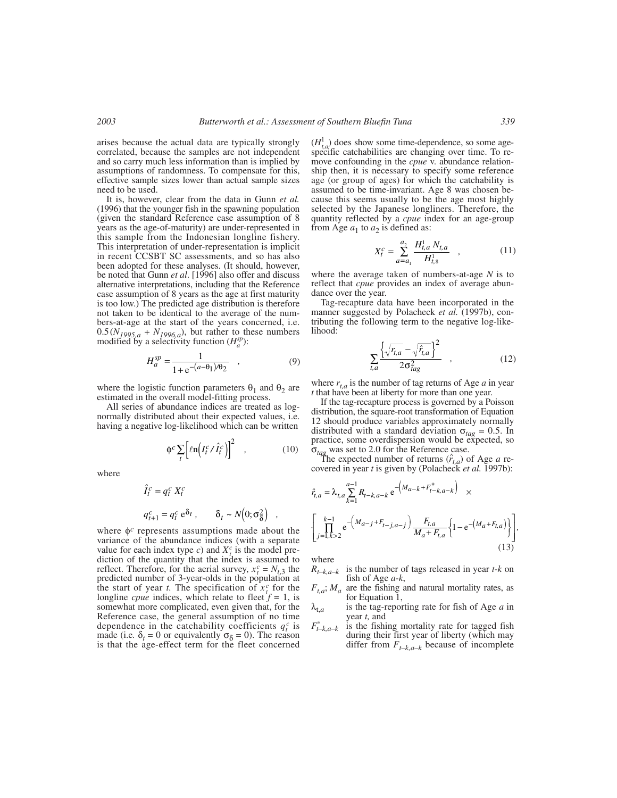arises because the actual data are typically strongly correlated, because the samples are not independent and so carry much less information than is implied by assumptions of randomness. To compensate for this, effective sample sizes lower than actual sample sizes need to be used.

It is, however, clear from the data in Gunn *et al.* (1996) that the younger fish in the spawning population (given the standard Reference case assumption of 8 years as the age-of-maturity) are under-represented in this sample from the Indonesian longline fishery. This interpretation of under-representation is implicit in recent CCSBT SC assessments, and so has also been adopted for these analyses. (It should, however, be noted that Gunn *et al*. [1996] also offer and discuss alternative interpretations, including that the Reference case assumption of 8 years as the age at first maturity is too low.) The predicted age distribution is therefore not taken to be identical to the average of the numbers-at-age at the start of the years concerned, i.e.  $0.5(N_{1995,a} + N_{1996,a})$ , but rather to these numbers modified by a selectivity function  $(H_a^{sp})$ :

$$
H_a^{sp} = \frac{1}{1 + e^{-(a - \theta_1)/\theta_2}} \quad , \tag{9}
$$

where the logistic function parameters  $\theta_1$  and  $\theta_2$  are estimated in the overall model-fitting process.

All series of abundance indices are treated as lognormally distributed about their expected values, i.e. having a negative log-likelihood which can be written

$$
\Phi^c \sum_t \left[ \ln \left( I_t^c / \hat{I}_t^c \right) \right]^2 \quad , \tag{10}
$$

where

$$
\begin{aligned} \hat{I}_t^c &= q_t^c \, X_t^c \\ q_{t+1}^c &= q_t^c \, \mathrm{e}^{\delta_t} \,, \qquad \delta_t \sim N\big(0; \sigma_\delta^2\big) \quad, \end{aligned}
$$

where φ*c* represents assumptions made about the variance of the abundance indices (with a separate value for each index type *c*) and  $X_t^c$  is the model prediction of the quantity that the index is assumed to reflect. Therefore, for the aerial survey,  $x_i^c = N_{t,3}$  the predicted number of 3-year-olds in the population at the start of year *t*. The specification of  $x_t^c$  for the longline *cpue* indices, which relate to fleet  $f = 1$ , is somewhat more complicated, even given that, for the Reference case, the general assumption of no time dependence in the catchability coefficients  $q_t^c$  is made (i.e.  $\delta_t = 0$  or equivalently  $\sigma_{\delta} = 0$ ). The reason is that the age-effect term for the fleet concerned

 $(H<sup>1</sup><sub>t,a</sub>)$  does show some time-dependence, so some agespecific catchabilities are changing over time. To remove confounding in the *cpue* v. abundance relationship then, it is necessary to specify some reference age (or group of ages) for which the catchability is assumed to be time-invariant. Age 8 was chosen because this seems usually to be the age most highly selected by the Japanese longliners. Therefore, the quantity reflected by a *cpue* index for an age-group from Age  $a_1$  to  $a_2$  is defined as:

$$
X_t^c = \sum_{a=a_1}^{a_2} \frac{H_{t,a}^1 N_{t,a}}{H_{t,s}^1} , \qquad (11)
$$

where the average taken of numbers-at-age *N* is to reflect that *cpue* provides an index of average abundance over the year.

Tag-recapture data have been incorporated in the manner suggested by Polacheck *et al.* (1997b), contributing the following term to the negative log-likelihood:

$$
\sum_{t,a} \frac{\left\{\sqrt{r_{t,a}} - \sqrt{\hat{r}_{t,a}}\right\}^2}{2\sigma_{tag}^2} \quad , \tag{12}
$$

where  $r_{ta}$  is the number of tag returns of Age *a* in year *t* that have been at liberty for more than one year.

If the tag-recapture process is governed by a Poisson distribution, the square-root transformation of Equation 12 should produce variables approximately normally distributed with a standard deviation  $\sigma_{tag} = 0.5$ . In practice, some overdispersion would be expected, so

 $\sigma_{tag}$  was set to 2.0 for the Reference case.<br>The expected number of returns  $(\hat{r}_{t,q})$  of Age *a* recovered in year *t* is given by (Polacheck *et al.* 1997b):

$$
\hat{r}_{t,a} = \lambda_{t,a} \sum_{k=1}^{a-1} R_{t-k,a-k} e^{-\left(M_{a-k} + F_{t-k,a-k}^* \right)} \times
$$
\n
$$
\left[ \prod_{j=1, k>2}^{k-1} e^{-\left(M_{a-j} + F_{t-j,a-j} \right)} \frac{F_{t,a}}{M_a + F_{t,a}} \left\{ 1 - e^{-\left(M_a + F_{t,a} \right)} \right\} \right],
$$
\n(13)

where

- $R_{t-k, a-k}$  is the number of tags released in year  $t-k$  on fish of Age *a-k*,
- $F_{t,a}$ ;  $M_a$  are the fishing and natural mortality rates, as for Equation 1,
- $\lambda_{t.a}$  is the tag-reporting rate for fish of Age *a* in year *t,* and
- $F_{t-k, a-k}^*$ is the fishing mortality rate for tagged fish during their first year of liberty (which may differ from  $F_{t-k,a-k}$  because of incomplete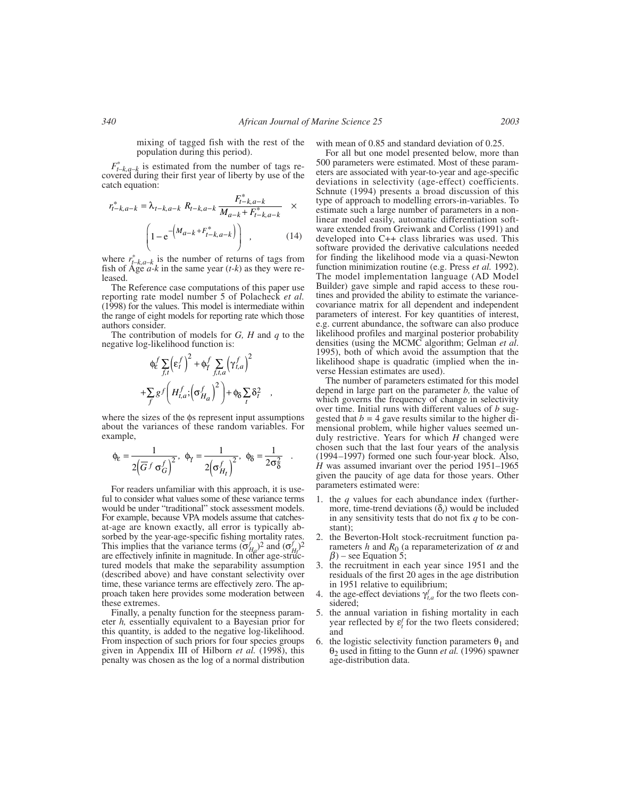mixing of tagged fish with the rest of the population during this period).

*F*

 $F_{t-k,a-k}^*$  is estimated from the number of tags recovered during their first year of liberty by use of the catch equation:

$$
r_{t-k,a-k}^{*} = \lambda_{t-k,a-k} R_{t-k,a-k} \frac{F_{t-k,a-k}^{*}}{M_{a-k} + F_{t-k,a-k}^{*}} \times
$$

$$
\left(1 - e^{-\left(M_{a-k} + F_{t-k,a-k}^{*}\right)}\right), \qquad (14)
$$

where  $r_{t-k, a-k}^*$  is the number of returns of tags from fish of Age  $a-k$  in the same year  $(t-k)$  as they were released.

The Reference case computations of this paper use reporting rate model number 5 of Polacheck *et al.* (1998) for the values. This model is intermediate within the range of eight models for reporting rate which those authors consider.

The contribution of models for *G, H* and *q* to the negative log-likelihood function is:

$$
\phi_{\varepsilon}^{f} \sum_{f,t} \left(\varepsilon_{t}^{f}\right)^{2} + \phi_{\gamma}^{f} \sum_{f,t,a} \left(\gamma_{t,a}^{f}\right)^{2}
$$

$$
+ \sum_{f} g f\left(H_{t,a}^{f}; \left(\sigma_{H_{a}}^{f}\right)^{2}\right) + \phi_{\delta} \sum_{t} \delta_{t}^{2} ,
$$

where the sizes of the φs represent input assumptions about the variances of these random variables. For example,

$$
\phi_{\varepsilon} = \frac{1}{2(\overline{G}^f \, \sigma_G^f)^2}, \ \ \phi_{\gamma} = \frac{1}{2(\sigma_{H_t}^f)^2}, \ \ \phi_{\delta} = \frac{1}{2\sigma_{\delta}^2} \quad .
$$

For readers unfamiliar with this approach, it is useful to consider what values some of these variance terms would be under "traditional" stock assessment models. For example, because VPA models assume that catchesat-age are known exactly, all error is typically absorbed by the year-age-specific fishing mortality rates. This implies that the variance terms  $(\sigma_H^f)^2$  and  $(\sigma_H^f)^2$ are effectively infinite in magnitude. In other age-structured models that make the separability assumption (described above) and have constant selectivity over time, these variance terms are effectively zero. The approach taken here provides some moderation between these extremes.

Finally, a penalty function for the steepness parameter *h,* essentially equivalent to a Bayesian prior for this quantity, is added to the negative log-likelihood. From inspection of such priors for four species groups given in Appendix III of Hilborn *et al.* (1998), this penalty was chosen as the log of a normal distribution

with mean of 0.85 and standard deviation of 0.25.

For all but one model presented below, more than 500 parameters were estimated. Most of these parameters are associated with year-to-year and age-specific deviations in selectivity (age-effect) coefficients. Schnute (1994) presents a broad discussion of this type of approach to modelling errors-in-variables. To estimate such a large number of parameters in a nonlinear model easily, automatic differentiation software extended from Greiwank and Corliss (1991) and developed into C++ class libraries was used. This software provided the derivative calculations needed for finding the likelihood mode via a quasi-Newton function minimization routine (e.g. Press *et al.* 1992). The model implementation language (AD Model Builder) gave simple and rapid access to these routines and provided the ability to estimate the variancecovariance matrix for all dependent and independent parameters of interest. For key quantities of interest, e.g. current abundance, the software can also produce likelihood profiles and marginal posterior probability densities (using the MCMC algorithm; Gelman *et al*. 1995), both of which avoid the assumption that the likelihood shape is quadratic (implied when the inverse Hessian estimates are used).

The number of parameters estimated for this model depend in large part on the parameter *b,* the value of which governs the frequency of change in selectivity over time. Initial runs with different values of *b* suggested that  $b = 4$  gave results similar to the higher dimensional problem, while higher values seemed unduly restrictive. Years for which *H* changed were chosen such that the last four years of the analysis (1994–1997) formed one such four-year block. Also, *H* was assumed invariant over the period 1951–1965 given the paucity of age data for those years. Other parameters estimated were:

- 1. the *q* values for each abundance index (furthermore, time-trend deviations  $(\delta_t)$  would be included in any sensitivity tests that do not fix *q* to be constant);
- 2. the Beverton-Holt stock-recruitment function parameters *h* and  $R_0$  (a reparameterization of  $\alpha$  and  $\beta$ ) – see Equation 5;
- 3. the recruitment in each year since 1951 and the residuals of the first 20 ages in the age distribution in 1951 relative to equilibrium;
- 4. the age-effect deviations  $\gamma_{t,a}^f$  for the two fleets considered;
- 5. the annual variation in fishing mortality in each year reflected by  $\varepsilon_t^f$  for the two fleets considered; and
- 6. the logistic selectivity function parameters  $\theta_1$  and  $θ$ <sub>2</sub> used in fitting to the Gunn *et al.* (1996) spawner age-distribution data.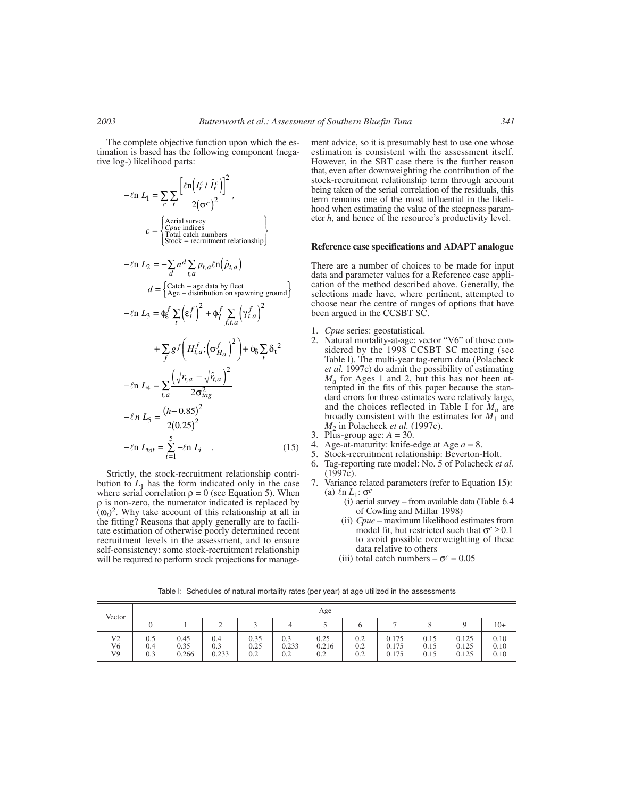The complete objective function upon which the estimation is based has the following component (negative log-) likelihood parts:

$$
-\ell \text{ n } L_1 = \sum_{c} \sum_{t} \frac{\left[\ln\left(I_t^c / \hat{I}_t^c\right)\right]^2}{2(\sigma^c)^2},
$$
\n
$$
c = \begin{cases}\n\text{Aerial survey} \\
\text{Cpute indices} \\
\text{Total catch numbers} \\
\text{Stock} - \text{recuitiment relationship}\n\end{cases}
$$
\n
$$
-\ell \text{ n } L_2 = -\sum_{d} n^d \sum_{t,a} p_{t,a} \ell \text{ n} \left(\hat{p}_{t,a}\right)
$$
\n
$$
d = \begin{cases}\n\text{Catch} - \text{age data by fleet} \\
\text{Age} - \text{distribution on squaning ground}\n\end{cases}
$$
\n
$$
-\ell \text{ n } L_3 = \phi_{\epsilon}^f \sum_{t} \left(\varepsilon_t^f\right)^2 + \phi_{\gamma}^f \sum_{f,t,a} \left(\gamma_{t,a}^f\right)^2
$$
\n
$$
+ \sum_{f} gf \left(H_{t,a}^f \left(\sigma_{H_a}^f\right)^2\right) + \phi_{\delta} \sum_{t} \delta_t^2
$$
\n
$$
-\ell \text{ n } L_4 = \sum_{t,a} \frac{\left(\sqrt{r_{t,a} - \sqrt{\hat{r}_{t,a}}}\right)^2}{2\sigma_{tag}^2}
$$
\n
$$
-\ell \text{ n } L_5 = \frac{(h - 0.85)^2}{2(0.25)^2}
$$
\n
$$
-\ell \text{ n } L_{tot} = \sum_{i=1}^5 -\ell \text{ n } L_i \tag{15}
$$

Strictly, the stock-recruitment relationship contribution to  $L_1$  has the form indicated only in the case where serial correlation  $\rho = 0$  (see Equation 5). When ρ is non-zero, the numerator indicated is replaced by  $(\omega_t)^2$ . Why take account of this relationship at all in the fitting? Reasons that apply generally are to facilitate estimation of otherwise poorly determined recent recruitment levels in the assessment, and to ensure self-consistency: some stock-recruitment relationship will be required to perform stock projections for management advice, so it is presumably best to use one whose estimation is consistent with the assessment itself. However, in the SBT case there is the further reason that, even after downweighting the contribution of the stock-recruitment relationship term through account being taken of the serial correlation of the residuals, this term remains one of the most influential in the likelihood when estimating the value of the steepness parameter *h*, and hence of the resource's productivity level.

### **Reference case specifications and ADAPT analogue**

There are a number of choices to be made for input data and parameter values for a Reference case application of the method described above. Generally, the selections made have, where pertinent, attempted to choose near the centre of ranges of options that have been argued in the CCSBT SC.

- 1. *Cpue* series: geostatistical.
- 2. Natural mortality-at-age: vector "V6" of those considered by the 1998 CCSBT SC meeting (see Table I). The multi-year tag-return data (Polacheck *et al.* 1997c) do admit the possibility of estimating  $M_a$  for Ages 1 and 2, but this has not been attempted in the fits of this paper because the standard errors for those estimates were relatively large, and the choices reflected in Table I for  $M_a$  are broadly consistent with the estimates for  $M_1$  and *M*<sup>2</sup> in Polacheck *et al.* (1997c).
- 3. Plus-group age: *A* = 30.
- 4. Age-at-maturity: knife-edge at Age  $a = 8$ .
- 5. Stock-recruitment relationship: Beverton-Holt.
- 6. Tag-reporting rate model: No. 5 of Polacheck *et al.*  $(1997c)$ .
- 7. Variance related parameters (refer to Equation 15): (a) ln *L*1: σ*<sup>c</sup>*
	- (i) aerial survey from available data (Table 6.4 of Cowling and Millar 1998)
	- (ii) *Cpue* maximum likelihood estimates from model fit, but restricted such that  $\sigma^c \geq 0.1$ to avoid possible overweighting of these data relative to others
	- (iii) total catch numbers  $\sigma^c = 0.05$

Table I: Schedules of natural mortality rates (per year) at age utilized in the assessments

| Vector                                 | Age               |                       |                     |                     |                     |                      |                   |                         |                      |                         |                      |
|----------------------------------------|-------------------|-----------------------|---------------------|---------------------|---------------------|----------------------|-------------------|-------------------------|----------------------|-------------------------|----------------------|
|                                        |                   |                       |                     |                     | 4                   |                      |                   |                         |                      |                         | $10+$                |
| V <sub>2</sub><br>V <sub>6</sub><br>V9 | 0.5<br>0.4<br>0.3 | 0.45<br>0.35<br>0.266 | 0.4<br>0.3<br>0.233 | 0.35<br>0.25<br>0.2 | 0.3<br>0.233<br>0.2 | 0.25<br>0.216<br>0.2 | 0.2<br>0.2<br>0.2 | 0.175<br>0.175<br>0.175 | 0.15<br>0.15<br>0.15 | 0.125<br>0.125<br>0.125 | 0.10<br>0.10<br>0.10 |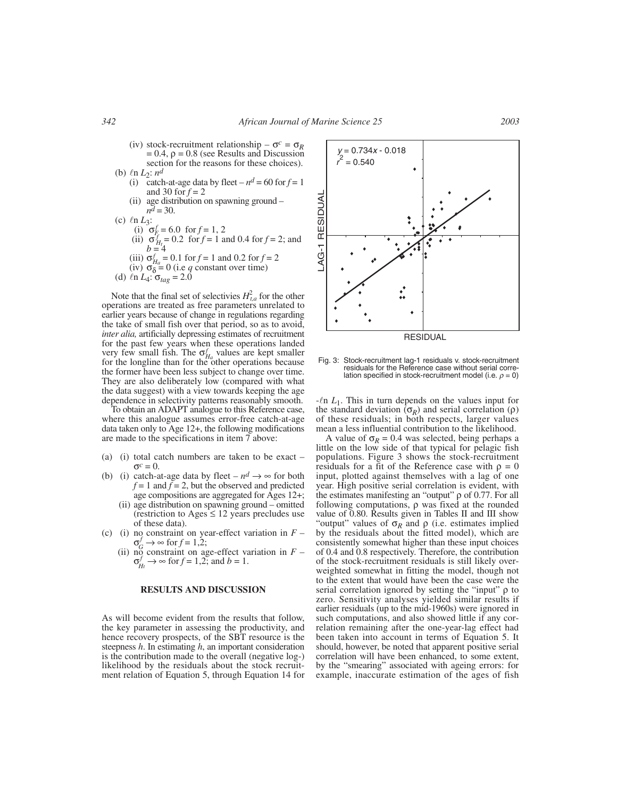- (iv) stock-recruitment relationship  $\sigma^c = \sigma_R$  $= 0.4$ ,  $\rho = 0.8$  (see Results and Discussion section for the reasons for these choices). (b)  $ln L_2$ :  $n^d$ 
	- (i) catch-at-age data by fleet  $n^d = 60$  for  $f = 1$ and 30 for  $f = 2$
- (ii) age distribution on spawning ground *n<sup>d</sup>* = 30.<br>(c)  $ln L_3$ :
- (c)  $ln L_3$ :<br>
(i)  $\sigma_f^f = 6.0$  for  $f = 1, 2$ <br>
(ii)  $\sigma_{H_1}^f = 0.2$  for  $f = 1$  and 0.4 for  $f = 2$ ; and  $b = 4$  $(iii) \sigma_{Ha}^f = 0.1$  for  $f = 1$  and 0.2 for  $f = 2$ (iv)  $\sigma_{\delta}^{n_q} = 0$  (i.e *q* constant over time) (d) *l*n *L*<sub>4</sub>:  $\sigma_{tag}$  = 2.0

Note that the final set of selectivies  $H<sup>2</sup><sub>t,a</sub>$  for the other operations are treated as free parameters unrelated to earlier years because of change in regulations regarding the take of small fish over that period, so as to avoid, *inter alia,* artificially depressing estimates of recruitment for the past few years when these operations landed very few small fish. The  $\sigma_{H_d}^f$  values are kept smaller for the longline than for the other operations because the former have been less subject to change over time. They are also deliberately low (compared with what the data suggest) with a view towards keeping the age dependence in selectivity patterns reasonably smooth.

To obtain an ADAPT analogue to this Reference case, where this analogue assumes error-free catch-at-age data taken only to Age 12+, the following modifications are made to the specifications in item 7 above:

- (a) (i) total catch numbers are taken to be exact  $\sigma^c = 0$ .
- (b) (i) catch-at-age data by fleet  $n^d \to \infty$  for both  $f = 1$  and  $f = 2$ , but the observed and predicted age compositions are aggregated for Ages 12+;
	- (ii) age distribution on spawning ground omitted (restriction to Ages  $\leq$  12 years precludes use of these data).
- (c) (i) no constraint on year-effect variation in  $F \sigma_G^f \to \infty$  for  $f = 1, 2$ ;
	- (ii) no constraint on age-effect variation in  $F \sigma_{H_t}^f \rightarrow \infty$  for  $f = 1, 2$ ; and  $b = 1$ .

# **RESULTS AND DISCUSSION**

As will become evident from the results that follow, the key parameter in assessing the productivity, and hence recovery prospects, of the SBT resource is the steepness *h*. In estimating *h*, an important consideration is the contribution made to the overall (negative log-) likelihood by the residuals about the stock recruitment relation of Equation 5, through Equation 14 for



Fig. 3: Stock-recruitment lag-1 residuals v. stock-recruitment residuals for the Reference case without serial correlation specified in stock-recruitment model (i.e.  $\rho = 0$ )

 $-\ell$ n  $L_1$ . This in turn depends on the values input for the standard deviation (σ<sub>R</sub>) and serial correlation (ρ) of these residuals; in both respects, larger values mean a less influential contribution to the likelihood.

A value of  $\sigma_R = 0.4$  was selected, being perhaps a little on the low side of that typical for pelagic fish populations. Figure 3 shows the stock-recruitment residuals for a fit of the Reference case with  $\rho = 0$ input, plotted against themselves with a lag of one year. High positive serial correlation is evident, with the estimates manifesting an "output"  $ρ$  of 0.77. For all following computations,  $\rho$  was fixed at the rounded value of  $0.80$ . Results given in Tables II and III show "output" values of  $\sigma_R$  and  $\rho$  (i.e. estimates implied by the residuals about the fitted model), which are consistently somewhat higher than these input choices of 0.4 and 0.8 respectively. Therefore, the contribution of the stock-recruitment residuals is still likely overweighted somewhat in fitting the model, though not to the extent that would have been the case were the serial correlation ignored by setting the "input" ρ to zero. Sensitivity analyses yielded similar results if earlier residuals (up to the mid-1960s) were ignored in such computations, and also showed little if any correlation remaining after the one-year-lag effect had been taken into account in terms of Equation 5. It should, however, be noted that apparent positive serial correlation will have been enhanced, to some extent, by the "smearing" associated with ageing errors: for example, inaccurate estimation of the ages of fish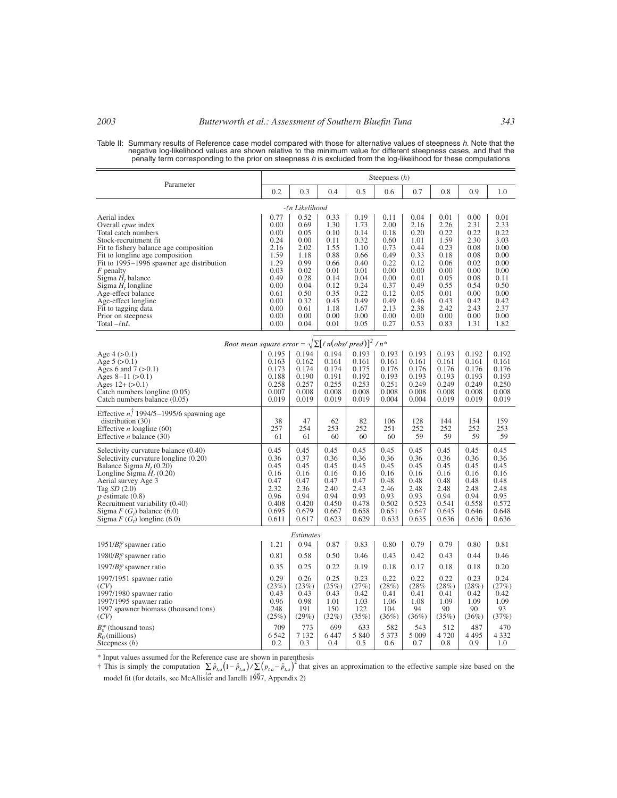# *2003 Butterworth et al.: Assessment of Southern Bluefin Tuna 343*

| Parameter                                                                                                                                                                                                                                                                                                                                                                               |                                                                                                                      | Steepness $(h)$                                                                                                      |                                                                                                                      |                                                                                                                      |                                                                                                                      |                                                                                                                      |                                                                                                                      |                                                                                                                      |                                                                                                                      |  |
|-----------------------------------------------------------------------------------------------------------------------------------------------------------------------------------------------------------------------------------------------------------------------------------------------------------------------------------------------------------------------------------------|----------------------------------------------------------------------------------------------------------------------|----------------------------------------------------------------------------------------------------------------------|----------------------------------------------------------------------------------------------------------------------|----------------------------------------------------------------------------------------------------------------------|----------------------------------------------------------------------------------------------------------------------|----------------------------------------------------------------------------------------------------------------------|----------------------------------------------------------------------------------------------------------------------|----------------------------------------------------------------------------------------------------------------------|----------------------------------------------------------------------------------------------------------------------|--|
|                                                                                                                                                                                                                                                                                                                                                                                         |                                                                                                                      | 0.3                                                                                                                  | 0.4                                                                                                                  | 0.5                                                                                                                  | 0.6                                                                                                                  | 0.7                                                                                                                  | 0.8                                                                                                                  | 0.9                                                                                                                  | 1.0                                                                                                                  |  |
| -ln Likelihood                                                                                                                                                                                                                                                                                                                                                                          |                                                                                                                      |                                                                                                                      |                                                                                                                      |                                                                                                                      |                                                                                                                      |                                                                                                                      |                                                                                                                      |                                                                                                                      |                                                                                                                      |  |
| Aerial index<br>Overall <i>cpue</i> index<br>Total catch numbers<br>Stock-recruitment fit<br>Fit to fishery balance age composition<br>Fit to longline age composition<br>Fit to 1995–1996 spawner age distribution<br>F penalty<br>Sigma $H_t$ balance<br>Sigma $H_t$ longline<br>Age-effect balance<br>Age-effect longline<br>Fit to tagging data<br>Prior on steepness<br>Total −ℓnL | 0.77<br>0.00<br>0.00<br>0.24<br>2.16<br>1.59<br>1.29<br>0.03<br>0.49<br>0.00<br>0.61<br>0.00<br>0.00<br>0.00<br>0.00 | 0.52<br>0.69<br>0.05<br>0.00<br>2.02<br>1.18<br>0.99<br>0.02<br>0.28<br>0.04<br>0.50<br>0.32<br>0.61<br>0.00<br>0.04 | 0.33<br>1.30<br>0.10<br>0.11<br>1.55<br>0.88<br>0.66<br>0.01<br>0.14<br>0.12<br>0.35<br>0.45<br>1.18<br>0.00<br>0.01 | 0.19<br>1.73<br>0.14<br>0.32<br>1.10<br>0.66<br>0.40<br>0.01<br>0.04<br>0.24<br>0.22<br>0.49<br>1.67<br>0.00<br>0.05 | 0.11<br>2.00<br>0.18<br>0.60<br>0.73<br>0.49<br>0.22<br>0.00<br>0.00<br>0.37<br>0.12<br>0.49<br>2.13<br>0.00<br>0.27 | 0.04<br>2.16<br>0.20<br>1.01<br>0.44<br>0.33<br>0.12<br>0.00<br>0.01<br>0.49<br>0.05<br>0.46<br>2.38<br>0.00<br>0.53 | 0.01<br>2.26<br>0.22<br>1.59<br>0.23<br>0.18<br>0.06<br>0.00<br>0.05<br>0.55<br>0.01<br>0.43<br>2.42<br>0.00<br>0.83 | 0.00<br>2.31<br>0.22<br>2.30<br>0.08<br>0.08<br>0.02<br>0.00<br>0.08<br>0.54<br>0.00<br>0.42<br>2.43<br>0.00<br>1.31 | 0.01<br>2.33<br>0.22<br>3.03<br>0.00<br>0.00<br>0.00<br>0.00<br>0.11<br>0.50<br>0.00<br>0.42<br>2.37<br>0.00<br>1.82 |  |
| <i>Root mean square error</i> = $\sqrt{\sum}$ [ $\ell n (obs/ pred)$ ] <sup>2</sup> / n*                                                                                                                                                                                                                                                                                                |                                                                                                                      |                                                                                                                      |                                                                                                                      |                                                                                                                      |                                                                                                                      |                                                                                                                      |                                                                                                                      |                                                                                                                      |                                                                                                                      |  |
| Age $4 (> 0.1)$<br>Age $5 (>0.1)$<br>Ages 6 and 7 $(>0.1)$<br>Ages $8-11 (>0.1)$<br>Ages $12+ (>0.1)$<br>Catch numbers longline (0.05)<br>Catch numbers balance (0.05)                                                                                                                                                                                                                  | 0.195<br>0.163<br>0.173<br>0.188<br>0.258<br>0.007<br>0.019                                                          | 0.194<br>0.162<br>0.174<br>0.190<br>0.257<br>0.008<br>0.019                                                          | 0.194<br>0.161<br>0.174<br>0.191<br>0.255<br>0.008<br>0.019                                                          | 0.193<br>0.161<br>0.175<br>0.192<br>0.253<br>0.008<br>0.019                                                          | 0.193<br>0.161<br>0.176<br>0.193<br>0.251<br>0.008<br>0.004                                                          | 0.193<br>0.161<br>0.176<br>0.193<br>0.249<br>0.008<br>0.004                                                          | 0.193<br>0.161<br>0.176<br>0.193<br>0.249<br>0.008<br>0.019                                                          | 0.192<br>0.161<br>0.176<br>0.193<br>0.249<br>0.008<br>0.019                                                          | 0.192<br>0.161<br>0.176<br>0.193<br>0.250<br>0.008<br>0.019                                                          |  |
| Effective $n$ , 1994/5-1995/6 spawning age<br>distribution $(30)$<br>Effective <i>n</i> longline $(60)$<br>Effective <i>n</i> balance $(30)$                                                                                                                                                                                                                                            | 38<br>257<br>61                                                                                                      | 47<br>254<br>61                                                                                                      | 62<br>253<br>60                                                                                                      | 82<br>252<br>60                                                                                                      | 106<br>251<br>60                                                                                                     | 128<br>252<br>59                                                                                                     | 144<br>252<br>59                                                                                                     | 154<br>252<br>59                                                                                                     | 159<br>253<br>59                                                                                                     |  |
| Selectivity curvature balance (0.40)<br>Selectivity curvature longline (0.20)<br>Balance Sigma $H_t(0.20)$<br>Longline Sigma $H_t$ (0.20)<br>Aerial survey Age 3<br>Tag $SD(2.0)$<br>$\rho$ estimate (0.8)<br>Recruitment variability (0.40)<br>Sigma $F(G_t)$ balance (6.0)<br>Sigma $F(G_t)$ longline (6.0)                                                                           | 0.45<br>0.36<br>0.45<br>0.16<br>0.47<br>2.32<br>0.96<br>0.408<br>0.695<br>0.611                                      | 0.45<br>0.37<br>0.45<br>0.16<br>0.47<br>2.36<br>0.94<br>0.420<br>0.679<br>0.617                                      | 0.45<br>0.36<br>0.45<br>0.16<br>0.47<br>2.40<br>0.94<br>0.450<br>0.667<br>0.623                                      | 0.45<br>0.36<br>0.45<br>0.16<br>0.47<br>2.43<br>0.93<br>0.478<br>0.658<br>0.629                                      | 0.45<br>0.36<br>0.45<br>0.16<br>0.48<br>2.46<br>0.93<br>0.502<br>0.651<br>0.633                                      | 0.45<br>0.36<br>0.45<br>0.16<br>0.48<br>2.48<br>0.93<br>0.523<br>0.647<br>0.635                                      | 0.45<br>0.36<br>0.45<br>0.16<br>0.48<br>2.48<br>0.94<br>0.541<br>0.645<br>0.636                                      | 0.45<br>0.36<br>0.45<br>0.16<br>0.48<br>2.48<br>0.94<br>0.558<br>0.646<br>0.636                                      | 0.45<br>0.36<br>0.45<br>0.16<br>0.48<br>2.48<br>0.95<br>0.572<br>0.648<br>0.636                                      |  |
|                                                                                                                                                                                                                                                                                                                                                                                         | 1.21                                                                                                                 | Estimates<br>0.94                                                                                                    | 0.87                                                                                                                 | 0.83                                                                                                                 | 0.80                                                                                                                 | 0.79                                                                                                                 | 0.79                                                                                                                 | 0.80                                                                                                                 | 0.81                                                                                                                 |  |
| 1951/ $B_0^{sp}$ spawner ratio<br>1980/ $B_0^{sp}$ spawner ratio                                                                                                                                                                                                                                                                                                                        | 0.81                                                                                                                 | 0.58                                                                                                                 | 0.50                                                                                                                 | 0.46                                                                                                                 | 0.43                                                                                                                 | 0.42                                                                                                                 | 0.43                                                                                                                 | 0.44                                                                                                                 | 0.46                                                                                                                 |  |
| 1997/ $B_0^{sp}$ spawner ratio                                                                                                                                                                                                                                                                                                                                                          | 0.35                                                                                                                 | 0.25                                                                                                                 | 0.22                                                                                                                 | 0.19                                                                                                                 | 0.18                                                                                                                 | 0.17                                                                                                                 | 0.18                                                                                                                 | 0.18                                                                                                                 | 0.20                                                                                                                 |  |
| 1997/1951 spawner ratio<br>(CV)<br>1997/1980 spawner ratio<br>1997/1995 spawner ratio<br>1997 spawner biomass (thousand tons)<br>(CV)                                                                                                                                                                                                                                                   | 0.29<br>(23%)<br>0.43<br>0.96<br>248<br>(25%)                                                                        | 0.26<br>(23%)<br>0.43<br>0.98<br>191<br>(29%)                                                                        | 0.25<br>(25%)<br>0.43<br>1.01<br>150<br>(32%)                                                                        | 0.23<br>(27%)<br>0.42<br>1.03<br>122<br>(35%)                                                                        | 0.22<br>(28%)<br>0.41<br>1.06<br>104<br>(36%)                                                                        | 0.22<br>(28%<br>0.41<br>1.08<br>94<br>(36%)                                                                          | 0.22<br>(28%)<br>0.41<br>1.09<br>90<br>(35%)                                                                         | 0.23<br>(28%)<br>0.42<br>1.09<br>90<br>(36%)                                                                         | 0.24<br>(27%)<br>0.42<br>1.09<br>93<br>(37%)                                                                         |  |
| $B_0^{sp}$ (thousand tons)<br>$R_0$ (millions)<br>Steepness $(h)$                                                                                                                                                                                                                                                                                                                       | 709<br>6 5 4 2<br>0.2                                                                                                | 773<br>7 1 3 2<br>0.3                                                                                                | 699<br>6447<br>0.4                                                                                                   | 633<br>5 8 4 0<br>0.5                                                                                                | 582<br>5 3 7 3<br>0.6                                                                                                | 543<br>5 0 0 9<br>0.7                                                                                                | 512<br>4 7 2 0<br>0.8                                                                                                | 487<br>4 4 9 5<br>0.9                                                                                                | 470<br>4 3 3 2<br>1.0                                                                                                |  |

Table II: Summary results of Reference case model compared with those for alternative values of steepness h. Note that the<br>negative log-likelihood values are shown relative to the minimum value for different steepness case

\* Input values assumed for the Reference case are shown in parenthesis

† This is simply the computation  $\sum \hat p_{ta} (1-\hat p_{ta}) / \sum (p_{ta}-\hat p_{ta})^2$  that gives an approximation to the effective sample size based on the This is simply the computation  $\sum \hat{p}_{t,a} (1 - \hat{p}_{t,a}) / \sum (p_{t,a} - \hat{p}_{t,a})^2$  that model fit (for details, see McAllister and Ianelli 1997, Appendix 2)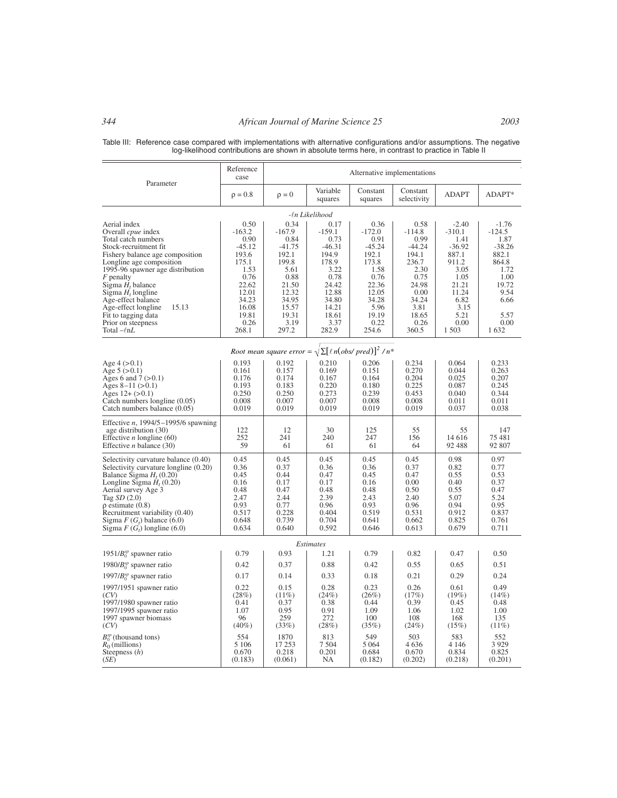| Parameter                                                                                                                                                                                                                                                                                                                                                                       | Reference<br>case                                                                                                                    | Alternative implementations                                                                                                          |                                                                                                                                      |                                                                                                                                     |                                                                                                                                    |                                                                                                                                      |                                                                                                                            |  |  |  |  |
|---------------------------------------------------------------------------------------------------------------------------------------------------------------------------------------------------------------------------------------------------------------------------------------------------------------------------------------------------------------------------------|--------------------------------------------------------------------------------------------------------------------------------------|--------------------------------------------------------------------------------------------------------------------------------------|--------------------------------------------------------------------------------------------------------------------------------------|-------------------------------------------------------------------------------------------------------------------------------------|------------------------------------------------------------------------------------------------------------------------------------|--------------------------------------------------------------------------------------------------------------------------------------|----------------------------------------------------------------------------------------------------------------------------|--|--|--|--|
|                                                                                                                                                                                                                                                                                                                                                                                 | $\rho = 0.8$                                                                                                                         | $\rho = 0$                                                                                                                           | Variable<br>squares                                                                                                                  | Constant<br>squares                                                                                                                 | Constant<br>selectivity                                                                                                            | <b>ADAPT</b>                                                                                                                         | ADAPT*                                                                                                                     |  |  |  |  |
| -ln Likelihood                                                                                                                                                                                                                                                                                                                                                                  |                                                                                                                                      |                                                                                                                                      |                                                                                                                                      |                                                                                                                                     |                                                                                                                                    |                                                                                                                                      |                                                                                                                            |  |  |  |  |
| Aerial index<br>Overall <i>cpue</i> index<br>Total catch numbers<br>Stock-recruitment fit<br>Fishery balance age composition<br>Longline age composition<br>1995-96 spawner age distribution<br>F penalty<br>Sigma $H_t$ balance<br>Sigma $H_t$ longline<br>Age-effect balance<br>15.13<br>Age-effect longline<br>Fit to tagging data<br>Prior on steepness<br>Total $-\ell nL$ | 0.50<br>$-163.2$<br>0.90<br>$-45.12$<br>193.6<br>175.1<br>1.53<br>0.76<br>22.62<br>12.01<br>34.23<br>16.08<br>19.81<br>0.26<br>268.1 | 0.34<br>$-167.9$<br>0.84<br>$-41.75$<br>192.1<br>199.8<br>5.61<br>0.88<br>21.50<br>12.32<br>34.95<br>15.57<br>19.31<br>3.19<br>297.2 | 0.17<br>$-159.1$<br>0.73<br>$-46.31$<br>194.9<br>178.9<br>3.22<br>0.78<br>24.42<br>12.88<br>34.80<br>14.21<br>18.61<br>3.37<br>282.9 | 0.36<br>$-172.0$<br>0.91<br>$-45.24$<br>192.1<br>173.8<br>1.58<br>0.76<br>22.36<br>12.05<br>34.28<br>5.96<br>19.19<br>0.22<br>254.6 | 0.58<br>$-114.8$<br>0.99<br>$-44.24$<br>194.1<br>236.7<br>2.30<br>0.75<br>24.98<br>0.00<br>34.24<br>3.81<br>18.65<br>0.26<br>360.5 | $-2.40$<br>$-310.1$<br>1.41<br>$-36.92$<br>887.1<br>911.2<br>3.05<br>1.05<br>21.21<br>11.24<br>6.82<br>3.15<br>5.21<br>0.00<br>1 503 | $-1.76$<br>$-124.5$<br>1.87<br>$-38.26$<br>882.1<br>864.8<br>1.72<br>1.00<br>19.72<br>9.54<br>6.66<br>5.57<br>0.00<br>1632 |  |  |  |  |
| Root mean square error = $\sqrt{\sum} [\ell n (obs/ pred)]^2 / n^*$                                                                                                                                                                                                                                                                                                             |                                                                                                                                      |                                                                                                                                      |                                                                                                                                      |                                                                                                                                     |                                                                                                                                    |                                                                                                                                      |                                                                                                                            |  |  |  |  |
| Age $4 (> 0.1)$<br>Age $5 (>0.1)$<br>Ages 6 and 7 $(>0.1)$<br>Ages $8-11 (>0.1)$<br>Ages $12+ (>0.1)$<br>Catch numbers longline $(0.05)$<br>Catch numbers balance (0.05)                                                                                                                                                                                                        | 0.193<br>0.161<br>0.176<br>0.193<br>0.250<br>0.008<br>0.019                                                                          | 0.192<br>0.157<br>0.174<br>0.183<br>0.250<br>0.007<br>0.019                                                                          | 0.210<br>0.169<br>0.167<br>0.220<br>0.273<br>0.007<br>0.019                                                                          | 0.206<br>0.151<br>0.164<br>0.180<br>0.239<br>0.008<br>0.019                                                                         | 0.234<br>0.270<br>0.204<br>0.225<br>0.453<br>0.008<br>0.019                                                                        | 0.064<br>0.044<br>0.025<br>0.087<br>0.040<br>0.011<br>0.037                                                                          | 0.233<br>0.263<br>0.207<br>0.245<br>0.344<br>0.011<br>0.038                                                                |  |  |  |  |
| Effective $n$ , 1994/5–1995/6 spawning<br>age distribution (30)<br>Effective <i>n</i> longline $(60)$<br>Effective <i>n</i> balance $(30)$                                                                                                                                                                                                                                      | 122<br>252<br>59                                                                                                                     | 12<br>241<br>61                                                                                                                      | 30<br>240<br>61                                                                                                                      | 125<br>247<br>61                                                                                                                    | 55<br>156<br>64                                                                                                                    | 55<br>14 616<br>92 488                                                                                                               | 147<br>75481<br>92 807                                                                                                     |  |  |  |  |
| Selectivity curvature balance (0.40)<br>Selectivity curvature longline (0.20)<br>Balance Sigma $H_t$ (0.20)<br>Longline Sigma $H_t(0.20)$<br>Aerial survey Age 3<br>Tag $SD(2.0)$<br>$\rho$ estimate $(0.8)$<br>Recruitment variability (0.40)<br>Sigma $F(G_t)$ balance (6.0)<br>Sigma $F(G_t)$ longline (6.0)                                                                 | 0.45<br>0.36<br>0.45<br>0.16<br>0.48<br>2.47<br>0.93<br>0.517<br>0.648<br>0.634                                                      | 0.45<br>0.37<br>0.44<br>0.17<br>0.47<br>2.44<br>0.77<br>0.228<br>0.739<br>0.640                                                      | 0.45<br>0.36<br>0.47<br>0.17<br>0.48<br>2.39<br>0.96<br>0.404<br>0.704<br>0.592                                                      | 0.45<br>0.36<br>0.45<br>0.16<br>0.48<br>2.43<br>0.93<br>0.519<br>0.641<br>0.646                                                     | 0.45<br>0.37<br>0.47<br>0.00<br>0.50<br>2.40<br>0.96<br>0.531<br>0.662<br>0.613                                                    | 0.98<br>0.82<br>0.55<br>0.40<br>0.55<br>5.07<br>0.94<br>0.912<br>0.825<br>0.679                                                      | 0.97<br>0.77<br>0.53<br>0.37<br>0.47<br>5.24<br>0.95<br>0.837<br>0.761<br>0.711                                            |  |  |  |  |
| Estimates                                                                                                                                                                                                                                                                                                                                                                       |                                                                                                                                      |                                                                                                                                      |                                                                                                                                      |                                                                                                                                     |                                                                                                                                    |                                                                                                                                      |                                                                                                                            |  |  |  |  |
| 1951/ $B_0^{sp}$ spawner ratio                                                                                                                                                                                                                                                                                                                                                  | 0.79                                                                                                                                 | 0.93                                                                                                                                 | 1.21                                                                                                                                 | 0.79                                                                                                                                | 0.82                                                                                                                               | 0.47                                                                                                                                 | 0.50                                                                                                                       |  |  |  |  |
| 1980/ $B_0^{sp}$ spawner ratio                                                                                                                                                                                                                                                                                                                                                  | 0.42                                                                                                                                 | 0.37                                                                                                                                 | 0.88                                                                                                                                 | 0.42                                                                                                                                | 0.55                                                                                                                               | 0.65                                                                                                                                 | 0.51                                                                                                                       |  |  |  |  |
| 1997/ $B_0^{\text{sp}}$ spawner ratio                                                                                                                                                                                                                                                                                                                                           | 0.17                                                                                                                                 | 0.14                                                                                                                                 | 0.33                                                                                                                                 | 0.18                                                                                                                                | 0.21                                                                                                                               | 0.29                                                                                                                                 | 0.24                                                                                                                       |  |  |  |  |
| 1997/1951 spawner ratio<br>(CV)<br>1997/1980 spawner ratio<br>1997/1995 spawner ratio<br>1997 spawner biomass<br>(CV)                                                                                                                                                                                                                                                           | 0.22<br>(28%)<br>0.41<br>1.07<br>96<br>$(40\%)$                                                                                      | 0.15<br>(11%)<br>0.37<br>0.95<br>259<br>(33%)                                                                                        | 0.28<br>(24%)<br>0.38<br>0.91<br>272<br>(28%)                                                                                        | 0.23<br>(26%)<br>0.44<br>1.09<br>100<br>(35%)                                                                                       | 0.26<br>(17%)<br>0.39<br>1.06<br>108<br>(24%)                                                                                      | 0.61<br>(19%)<br>0.45<br>1.02<br>168<br>(15%)                                                                                        | 0.49<br>(14%)<br>0.48<br>1.00<br>135<br>(11%)                                                                              |  |  |  |  |
| $B_0^{sp}$ (thousand tons)<br>$R_0$ (millions)<br>Steepness $(h)$<br>(SE)                                                                                                                                                                                                                                                                                                       | 554<br>5 1 0 6<br>0.670<br>(0.183)                                                                                                   | 1870<br>17 253<br>0.218<br>(0.061)                                                                                                   | 813<br>7 5 0 4<br>0.201<br>NA                                                                                                        | 549<br>5 0 6 4<br>0.684<br>(0.182)                                                                                                  | 503<br>4636<br>0.670<br>(0.202)                                                                                                    | 583<br>4 1 4 6<br>0.834<br>(0.218)                                                                                                   | 552<br>3929<br>0.825<br>(0.201)                                                                                            |  |  |  |  |

Table III: Reference case compared with implementations with alternative configurations and/or assumptions. The negative log-likelihood contributions are shown in absolute terms here, in contrast to practice in Table II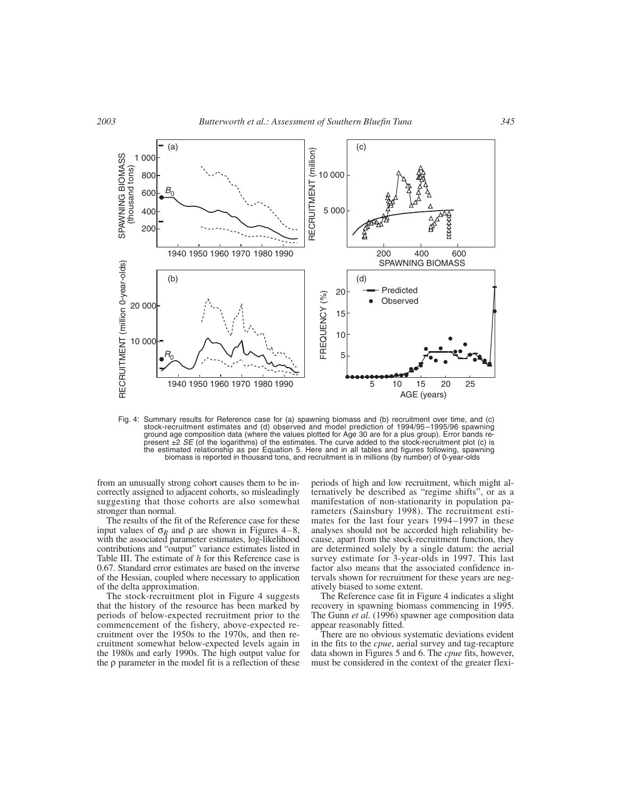

Fig. 4: Summary results for Reference case for (a) spawning biomass and (b) recruitment over time, and (c) stock-recruitment estimates and (d) observed and model prediction of 1994/95–1995/96 spawning ground age composition data (where the values plotted for Age 30 are for a plus group). Error bands represent ±2 *SE* (of the logarithms) of the estimates. The curve added to the stock-recruitment plot (c) is<br>the estimated relationship as per Equation 5. Here and in all tables and figures following, spawning biomass is reported in thousand tons, and recruitment is in millions (by number) of 0-year-olds

from an unusually strong cohort causes them to be incorrectly assigned to adjacent cohorts, so misleadingly suggesting that those cohorts are also somewhat stronger than normal.

The results of the fit of the Reference case for these input values of  $\sigma_R$  and  $\rho$  are shown in Figures 4–8, with the associated parameter estimates, log-likelihood contributions and "output" variance estimates listed in Table III. The estimate of *h* for this Reference case is 0.67. Standard error estimates are based on the inverse of the Hessian, coupled where necessary to application of the delta approximation.

The stock-recruitment plot in Figure 4 suggests that the history of the resource has been marked by periods of below-expected recruitment prior to the commencement of the fishery, above-expected recruitment over the 1950s to the 1970s, and then recruitment somewhat below-expected levels again in the 1980s and early 1990s. The high output value for the ρ parameter in the model fit is a reflection of these

periods of high and low recruitment, which might alternatively be described as "regime shifts", or as a manifestation of non-stationarity in population parameters (Sainsbury 1998). The recruitment estimates for the last four years 1994–1997 in these analyses should not be accorded high reliability because, apart from the stock-recruitment function, they are determined solely by a single datum: the aerial survey estimate for 3-year-olds in 1997. This last factor also means that the associated confidence intervals shown for recruitment for these years are negatively biased to some extent.

The Reference case fit in Figure 4 indicates a slight recovery in spawning biomass commencing in 1995. The Gunn *et al*. (1996) spawner age composition data appear reasonably fitted.

There are no obvious systematic deviations evident in the fits to the *cpue*, aerial survey and tag-recapture data shown in Figures 5 and 6. The *cpue* fits, however, must be considered in the context of the greater flexi-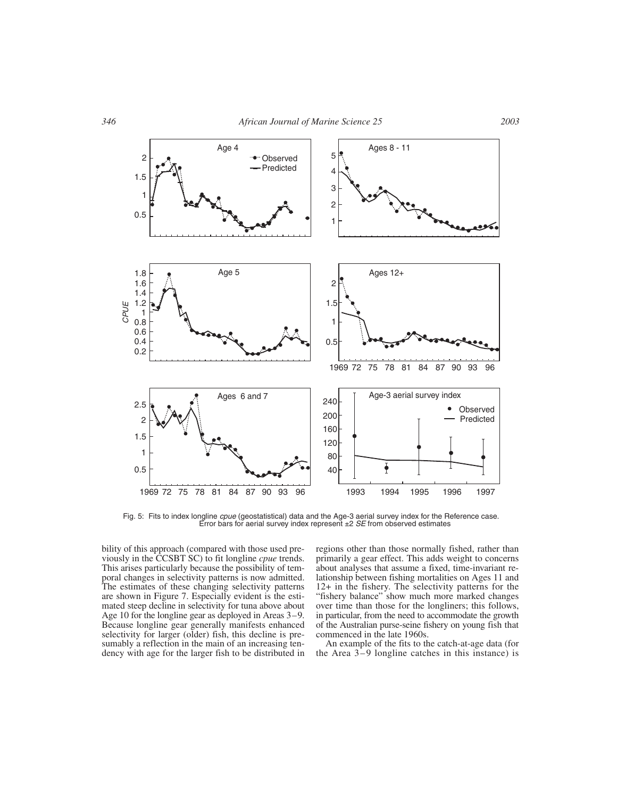

Fig. 5: Fits to index longline *cpue* (geostatistical) data and the Age-3 aerial survey index for the Reference case.<br>Error bars for aerial survey index represent ±2 SE from observed estimates

bility of this approach (compared with those used previously in the CCSBT SC) to fit longline *cpue* trends. This arises particularly because the possibility of temporal changes in selectivity patterns is now admitted. The estimates of these changing selectivity patterns are shown in Figure 7. Especially evident is the estimated steep decline in selectivity for tuna above about Age 10 for the longline gear as deployed in Areas 3–9. Because longline gear generally manifests enhanced selectivity for larger (older) fish, this decline is presumably a reflection in the main of an increasing tendency with age for the larger fish to be distributed in

1969 72 75 78 81 84 87 90 93 96

regions other than those normally fished, rather than primarily a gear effect. This adds weight to concerns about analyses that assume a fixed, time-invariant relationship between fishing mortalities on Ages 11 and 12+ in the fishery. The selectivity patterns for the "fishery balance" show much more marked changes over time than those for the longliners; this follows, in particular, from the need to accommodate the growth of the Australian purse-seine fishery on young fish that commenced in the late 1960s.

1993 1994 1995 1996 1997

An example of the fits to the catch-at-age data (for the Area 3–9 longline catches in this instance) is

CPUE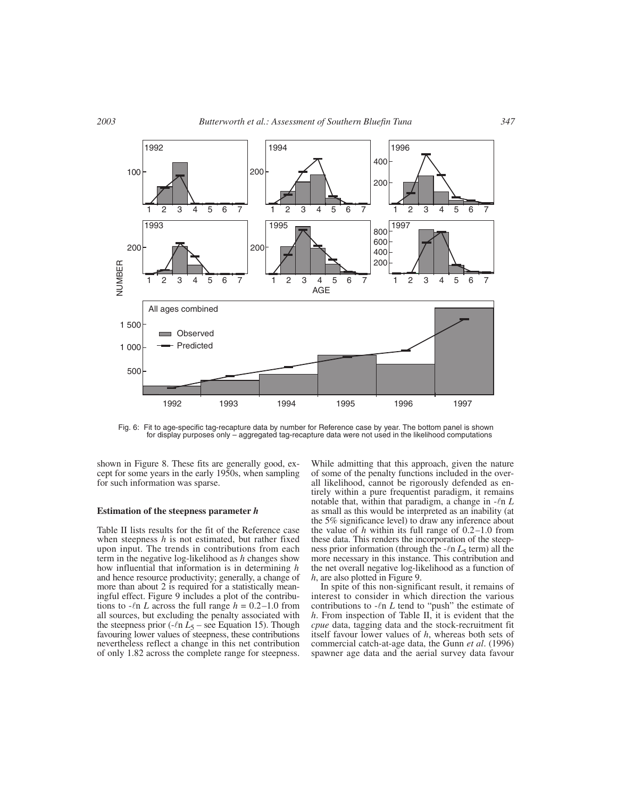

Fig. 6: Fit to age-specific tag-recapture data by number for Reference case by year. The bottom panel is shown for display purposes only – aggregated tag-recapture data were not used in the likelihood computations

shown in Figure 8. These fits are generally good, except for some years in the early 1950s, when sampling for such information was sparse.

## **Estimation of the steepness parameter** *h*

Table II lists results for the fit of the Reference case when steepness *h* is not estimated, but rather fixed upon input. The trends in contributions from each term in the negative log-likelihood as *h* changes show how influential that information is in determining *h* and hence resource productivity; generally, a change of more than about 2 is required for a statistically meaningful effect. Figure 9 includes a plot of the contributions to  $-\ln L$  across the full range  $h = 0.2 - 1.0$  from all sources, but excluding the penalty associated with the steepness prior (- $ln L_5$  – see Equation 15). Though favouring lower values of steepness, these contributions nevertheless reflect a change in this net contribution of only 1.82 across the complete range for steepness.

While admitting that this approach, given the nature of some of the penalty functions included in the overall likelihood, cannot be rigorously defended as entirely within a pure frequentist paradigm, it remains notable that, within that paradigm, a change in  $-\ell n L$ as small as this would be interpreted as an inability (at the 5% significance level) to draw any inference about the value of *h* within its full range of 0.2–1.0 from these data. This renders the incorporation of the steepness prior information (through the  $-\ell n L_5$  term) all the more necessary in this instance. This contribution and the net overall negative log-likelihood as a function of *h*, are also plotted in Figure 9.

In spite of this non-significant result, it remains of interest to consider in which direction the various contributions to  $-\ell n L$  tend to "push" the estimate of *h*. From inspection of Table II, it is evident that the *cpue* data, tagging data and the stock-recruitment fit itself favour lower values of *h*, whereas both sets of commercial catch-at-age data, the Gunn *et al*. (1996) spawner age data and the aerial survey data favour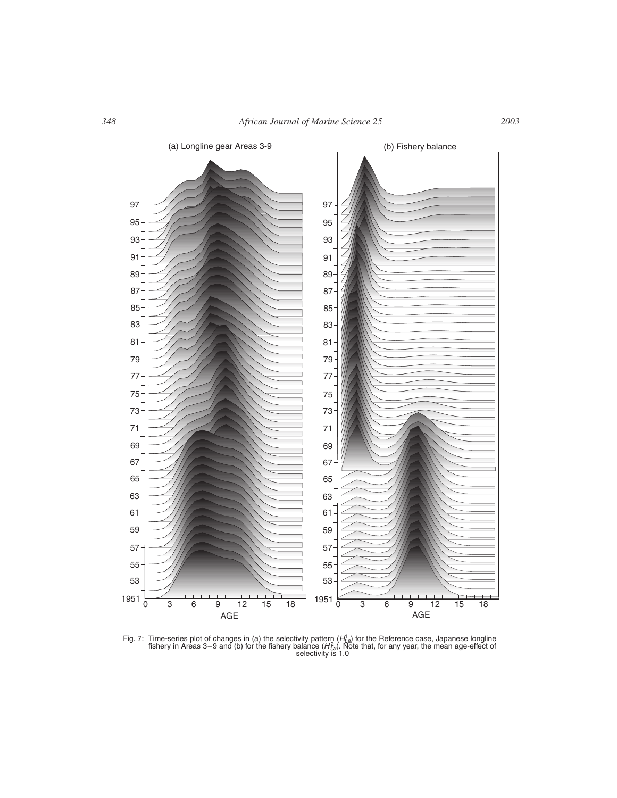

Fig. 7: Time-series plot of changes in (a) the selectivity pattern  $(H_{l,a}^1)$  for the Reference case, Japanese longline fishery in Areas 3–9 and (b) for the fishery balance  $(H_{l,a}^2)$ . Note that, for any year, the mean ag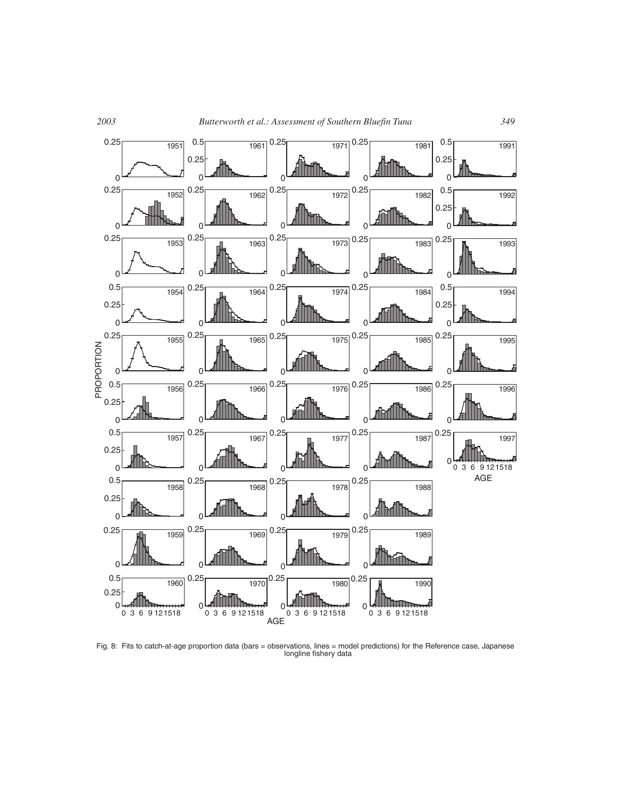

Fig. 8: Fits to catch-at-age proportion data (bars = observations, lines = model predictions) for the Reference case, Japanese longline fishery data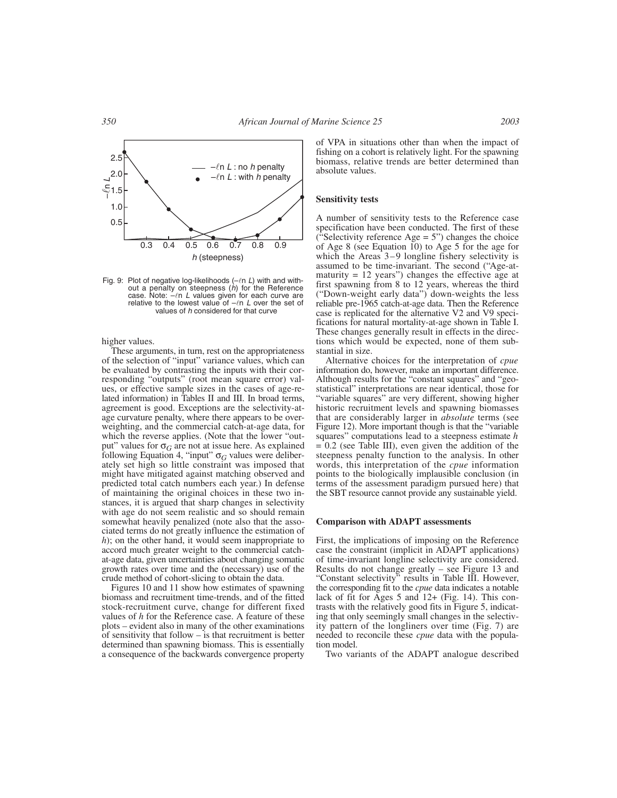

Fig. 9: Plot of negative log-likelihoods  $(-ln L)$  with and without a penalty on steepness (h) for the Reference<br>case. Note: - /n L values given for each curve are relative to the lowest value of  $-\ell$ n L over the set of values of  $h$  considered for that curve

higher values.

These arguments, in turn, rest on the appropriateness of the selection of "input" variance values, which can be evaluated by contrasting the inputs with their corresponding "outputs" (root mean square error) values, or effective sample sizes in the cases of age-related information) in Tables II and III. In broad terms, agreement is good. Exceptions are the selectivity-atage curvature penalty, where there appears to be overweighting, and the commercial catch-at-age data, for which the reverse applies. (Note that the lower "output" values for  $\sigma_G$  are not at issue here. As explained following Equation 4, "input"  $\sigma_G$  values were deliberately set high so little constraint was imposed that might have mitigated against matching observed and predicted total catch numbers each year.) In defense of maintaining the original choices in these two instances, it is argued that sharp changes in selectivity with age do not seem realistic and so should remain somewhat heavily penalized (note also that the associated terms do not greatly influence the estimation of *h*); on the other hand, it would seem inappropriate to accord much greater weight to the commercial catchat-age data, given uncertainties about changing somatic growth rates over time and the (necessary) use of the crude method of cohort-slicing to obtain the data.

Figures 10 and 11 show how estimates of spawning biomass and recruitment time-trends, and of the fitted stock-recruitment curve, change for different fixed values of *h* for the Reference case. A feature of these plots – evident also in many of the other examinations of sensitivity that follow – is that recruitment is better determined than spawning biomass. This is essentially a consequence of the backwards convergence property

of VPA in situations other than when the impact of fishing on a cohort is relatively light. For the spawning biomass, relative trends are better determined than absolute values.

# **Sensitivity tests**

A number of sensitivity tests to the Reference case specification have been conducted. The first of these ("Selectivity reference Age  $= 5$ ") changes the choice of Age 8 (see Equation 10) to Age 5 for the age for which the Areas 3–9 longline fishery selectivity is assumed to be time-invariant. The second ("Age-atmaturity  $= 12$  years") changes the effective age at first spawning from 8 to 12 years, whereas the third ("Down-weight early data") down-weights the less reliable pre-1965 catch-at-age data. Then the Reference case is replicated for the alternative V2 and V9 specifications for natural mortality-at-age shown in Table I. These changes generally result in effects in the directions which would be expected, none of them substantial in size.

Alternative choices for the interpretation of *cpue* information do, however, make an important difference. Although results for the "constant squares" and "geostatistical" interpretations are near identical, those for "variable squares" are very different, showing higher historic recruitment levels and spawning biomasses that are considerably larger in *absolute* terms (see Figure 12). More important though is that the "variable squares" computations lead to a steepness estimate *h* = 0.2 (see Table III), even given the addition of the steepness penalty function to the analysis. In other words, this interpretation of the *cpue* information points to the biologically implausible conclusion (in terms of the assessment paradigm pursued here) that the SBT resource cannot provide any sustainable yield.

## **Comparison with ADAPT assessments**

First, the implications of imposing on the Reference case the constraint (implicit in ADAPT applications) of time-invariant longline selectivity are considered. Results do not change greatly – see Figure 13 and "Constant selectivity" results in Table III. However, the corresponding fit to the *cpue* data indicates a notable lack of fit for Ages 5 and 12+ (Fig. 14). This contrasts with the relatively good fits in Figure 5, indicating that only seemingly small changes in the selectivity pattern of the longliners over time (Fig. 7) are needed to reconcile these *cpue* data with the population model.

Two variants of the ADAPT analogue described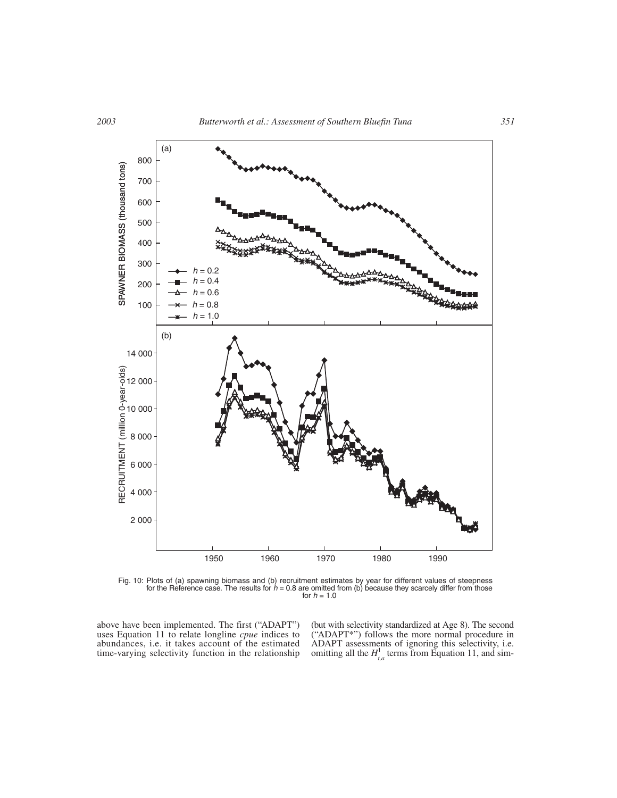

Fig. 10: Plots of (a) spawning biomass and (b) recruitment estimates by year for different values of steepness<br>for the Reference case. The results for  $h = 0.8$  are omitted from (b) because they scarcely differ from those for  $h = 1.0$ 

above have been implemented. The first ("ADAPT") uses Equation 11 to relate longline *cpue* indices to abundances, i.e. it takes account of the estimated time-varying selectivity function in the relationship

(but with selectivity standardized at Age 8). The second ("ADAPT\*") follows the more normal procedure in ADAPT assessments of ignoring this selectivity, i.e. omitting all the  $H_{t,a}^1$  terms from Equation 11, and sim-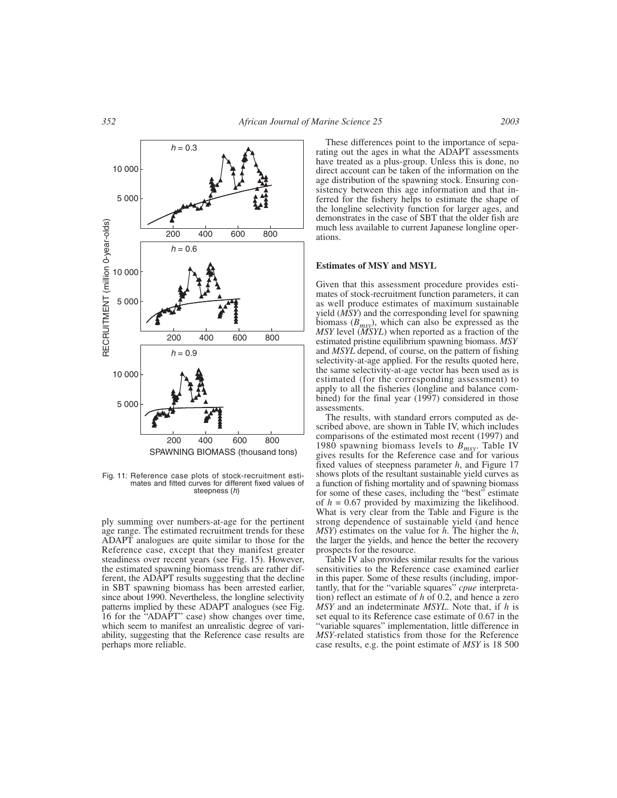

Fig. 11: Reference case plots of stock-recruitment estimates and fitted curves for different fixed values of steepness (h)

ply summing over numbers-at-age for the pertinent age range. The estimated recruitment trends for these ADAPT analogues are quite similar to those for the Reference case, except that they manifest greater steadiness over recent years (see Fig. 15). However, the estimated spawning biomass trends are rather different, the ADAPT results suggesting that the decline in SBT spawning biomass has been arrested earlier, since about 1990. Nevertheless, the longline selectivity patterns implied by these ADAPT analogues (see Fig. 16 for the "ADAPT" case) show changes over time, which seem to manifest an unrealistic degree of variability, suggesting that the Reference case results are perhaps more reliable.

These differences point to the importance of separating out the ages in what the ADAPT assessments have treated as a plus-group. Unless this is done, no direct account can be taken of the information on the age distribution of the spawning stock. Ensuring consistency between this age information and that inferred for the fishery helps to estimate the shape of the longline selectivity function for larger ages, and demonstrates in the case of SBT that the older fish are much less available to current Japanese longline operations.

### **Estimates of MSY and MSYL**

Given that this assessment procedure provides estimates of stock-recruitment function parameters, it can as well produce estimates of maximum sustainable yield (*MSY*) and the corresponding level for spawning biomass (*Bmsy*), which can also be expressed as the *MSY* level (*MSYL*) when reported as a fraction of the estimated pristine equilibrium spawning biomass. *MSY* and *MSYL* depend, of course, on the pattern of fishing selectivity-at-age applied. For the results quoted here, the same selectivity-at-age vector has been used as is estimated (for the corresponding assessment) to apply to all the fisheries (longline and balance combined) for the final year (1997) considered in those assessments.

The results, with standard errors computed as described above, are shown in Table IV, which includes comparisons of the estimated most recent (1997) and 1980 spawning biomass levels to *Bmsy*. Table IV gives results for the Reference case and for various fixed values of steepness parameter *h*, and Figure 17 shows plots of the resultant sustainable yield curves as a function of fishing mortality and of spawning biomass for some of these cases, including the "best" estimate of  $h = 0.67$  provided by maximizing the likelihood. What is very clear from the Table and Figure is the strong dependence of sustainable yield (and hence *MSY*) estimates on the value for *h*. The higher the *h*, the larger the yields, and hence the better the recovery prospects for the resource.

Table IV also provides similar results for the various sensitivities to the Reference case examined earlier in this paper. Some of these results (including, importantly, that for the "variable squares" *cpue* interpretation) reflect an estimate of *h* of 0.2, and hence a zero *MSY* and an indeterminate *MSYL*. Note that, if *h* is set equal to its Reference case estimate of 0.67 in the "variable squares" implementation, little difference in *MSY*-related statistics from those for the Reference case results, e.g. the point estimate of *MSY* is 18 500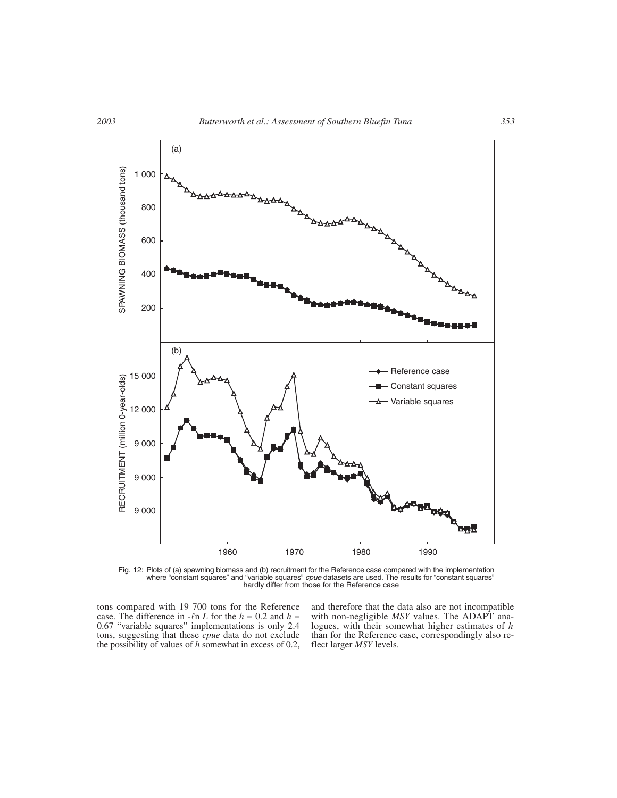

Fig. 12: Plots of (a) spawning biomass and (b) recruitment for the Reference case compared with the implementation<br>"where "constant squares" and "variable squares" *cpue* datasets are used. The results for "constant square

tons compared with 19 700 tons for the Reference case. The difference in  $-\ell n L$  for the  $h = 0.2$  and  $h =$ 0.67 "variable squares" implementations is only 2.4 tons, suggesting that these *cpue* data do not exclude the possibility of values of *h* somewhat in excess of 0.2,

and therefore that the data also are not incompatible with non-negligible *MSY* values. The ADAPT analogues, with their somewhat higher estimates of *h* than for the Reference case, correspondingly also reflect larger *MSY* levels.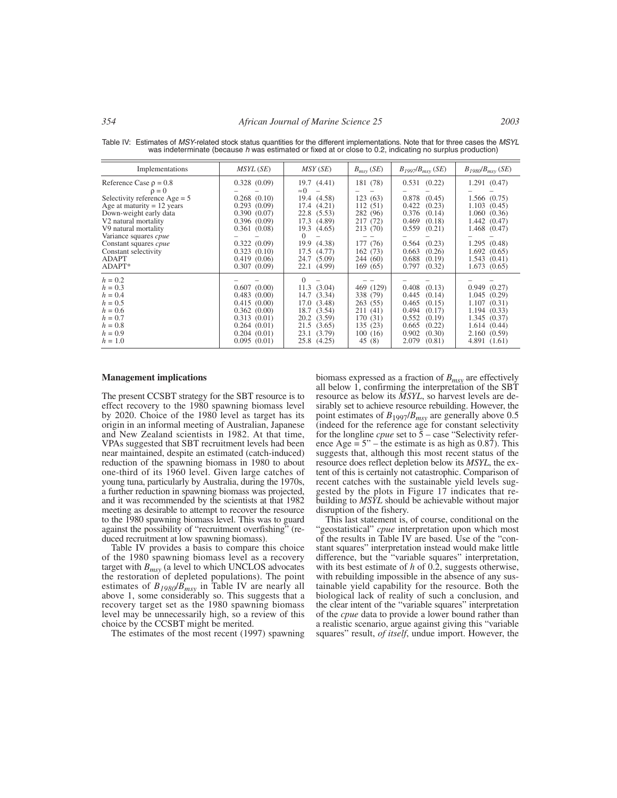Implementations *MSYL* (*SE*) *MSY* (*SE*) *Bmsy* (*SE*) *B1997*/*Bmsy* (*SE*) *B1980*/*Bmsy* (*SE*) Reference Case  $p = 0.8$  0.328 (0.09) 19.7 (4.41) 181 (78) 0.531 (0.22) 1.291 (0.47)  $\rho = 0$  – –  $\approx 0$  – – – – – – – Selectivity reference Age = 5 0.268 (0.10) 19.4 (4.58) 123 (63) 0.878 (0.45) 1.566 (0.75)<br>
Age at maturity = 12 years 0.293 (0.09) 17.4 (4.21) 112 (51) 0.422 (0.23) 1.103 (0.45)<br>
Down-weight early data 0.390 (0.07) 22.8 (5 Age at maturity = 12 years 0.293 (0.09) 17.4 (4.21) 112 (51) 0.422 (0.23) 1.103 (0.45) Down-weight early data 0.390 (0.07) 22.8 (5.53) 282 (96) 0.376 (0.14) 1.060 (0.36) V2 natural mortality  $0.396 (0.09)$   $17.3 (4.89)$   $217 (72)$   $0.469 (0.18)$  1.442 (0.47)<br>V9 natural mortality  $0.361 (0.08)$  19.3 (4.65) 213 (70) 0.559 (0.21) 1.468 (0.47) V9 natural mortality  $V_0$  o.361 (0.08) 19.<br>Variance squares *cpue*  $\begin{array}{ccc} 0.361 & (0.08) & 19.58 \\ - & - & - \end{array}$ Variance squares *cpue – –* 00 – 00–– – – – – Constant squares *cpue* 0.322 (0.09) 19.9 (4.38) 177 (76) 0.564 (0.23) 1.295 (0.48)<br>Constant selectivity 0.323 (0.10) 17.5 (4.77) 162 (73) 0.663 (0.26) 1.692 (0.65)<br>ADAPT 0.419 (0.06) 24.7 (5.09) 244 (60) 0.688 (0.19) 1.54 Constant selectivity 0.323 (0.10) 17.5 (4.77) 162 (73) 0.663 (0.26)<br>ADAPT 0.419 (0.06) 24.7 (5.09) 244 (60) 0.688 (0.19) ADAPT (0.419 (0.06) 24.7 (5.09) 244 (60) 0.688 (0.19) 1.543 (0.41) ADAPT\* 0.307 (0.09) 22.1 (4.99) 169 (65) 0.797 (0.32) 1.673 (0.65) *h* = 0.2 – – 0 – – 0 – – – – – *h =* 0.3 0.607 (0.00) 11.3 (3.04) 469 (129) 0.408 (0.13) 0.949 (0.27) *h* = 0.4 **12.483** (0.00) 14.7 (3.34) 338 (79) 0.445 (0.14) 1.045 (0.29) *h =* 0.5 0.415 (0.00) 17.0 (3.48) 263 (55) 0.465 (0.15) 1.107 (0.31) *h* = 0.6 0.352 (0.00) 18.7 (3.54) 211 (41) 0.494 (0.17) 1.194 (0.33) *h* = 0.7 0.313 (0.01) 20.2 (3.59) 170 (31) 0.552 (0.19) 1.345 (0.37) *h* = 0.8 0.264 (0.01) 21.5 (3.65) 135 (23) 0.665 (0.22) 1.614 (0.44) *h =* 0.9 0.204 (0.01) 23.1 (3.79) 100 (16) 0.902 (0.30) 2.160 (0.59) *h* = 1.0 0.095 (0.01) 25.8 (4.25) 45 (8) 2.079 (0.81) 4.891 (1.61)

Table IV: Estimates of MSY-related stock status quantities for the different implementations. Note that for three cases the MSYL was indeterminate (because h was estimated or fixed at or close to 0.2, indicating no surplus production)

### **Management implications**

The present CCSBT strategy for the SBT resource is to effect recovery to the 1980 spawning biomass level by 2020. Choice of the 1980 level as target has its origin in an informal meeting of Australian, Japanese and New Zealand scientists in 1982. At that time, VPAs suggested that SBT recruitment levels had been near maintained, despite an estimated (catch-induced) reduction of the spawning biomass in 1980 to about one-third of its 1960 level. Given large catches of young tuna, particularly by Australia, during the 1970s, a further reduction in spawning biomass was projected, and it was recommended by the scientists at that 1982 meeting as desirable to attempt to recover the resource to the 1980 spawning biomass level. This was to guard against the possibility of "recruitment overfishing" (reduced recruitment at low spawning biomass).

Table IV provides a basis to compare this choice of the 1980 spawning biomass level as a recovery target with  $B_{msv}$  (a level to which UNCLOS advocates the restoration of depleted populations). The point estimates of *B1980*/*Bmsy* in Table IV are nearly all above 1, some considerably so. This suggests that a recovery target set as the 1980 spawning biomass level may be unnecessarily high, so a review of this choice by the CCSBT might be merited.

The estimates of the most recent (1997) spawning

biomass expressed as a fraction of *Bmsy* are effectively all below 1, confirming the interpretation of the SBT resource as below its *MSYL*, so harvest levels are desirably set to achieve resource rebuilding. However, the point estimates of *B*1997/*Bmsy* are generally above 0.5 (indeed for the reference age for constant selectivity for the longline *cpue* set to  $5 - \case$  "Selectivity reference Age  $= 5$ " – the estimate is as high as 0.87). This suggests that, although this most recent status of the resource does reflect depletion below its *MSYL*, the extent of this is certainly not catastrophic. Comparison of recent catches with the sustainable yield levels suggested by the plots in Figure 17 indicates that rebuilding to *MSYL* should be achievable without major disruption of the fishery.

This last statement is, of course, conditional on the "geostatistical" *cpue* interpretation upon which most of the results in Table IV are based. Use of the "constant squares" interpretation instead would make little difference, but the "variable squares" interpretation, with its best estimate of *h* of 0.2, suggests otherwise, with rebuilding impossible in the absence of any sustainable yield capability for the resource. Both the biological lack of reality of such a conclusion, and the clear intent of the "variable squares" interpretation of the *cpue* data to provide a lower bound rather than a realistic scenario, argue against giving this "variable squares" result, *of itself*, undue import. However, the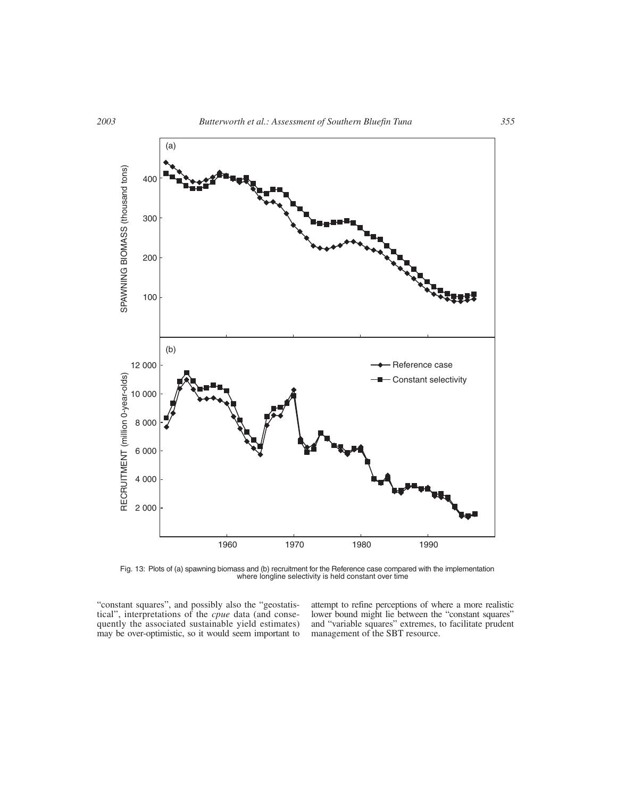

Fig. 13: Plots of (a) spawning biomass and (b) recruitment for the Reference case compared with the implementation where longline selectivity is held constant over time

"constant squares", and possibly also the "geostatistical", interpretations of the *cpue* data (and consequently the associated sustainable yield estimates) may be over-optimistic, so it would seem important to

attempt to refine perceptions of where a more realistic lower bound might lie between the "constant squares" and "variable squares" extremes, to facilitate prudent management of the SBT resource.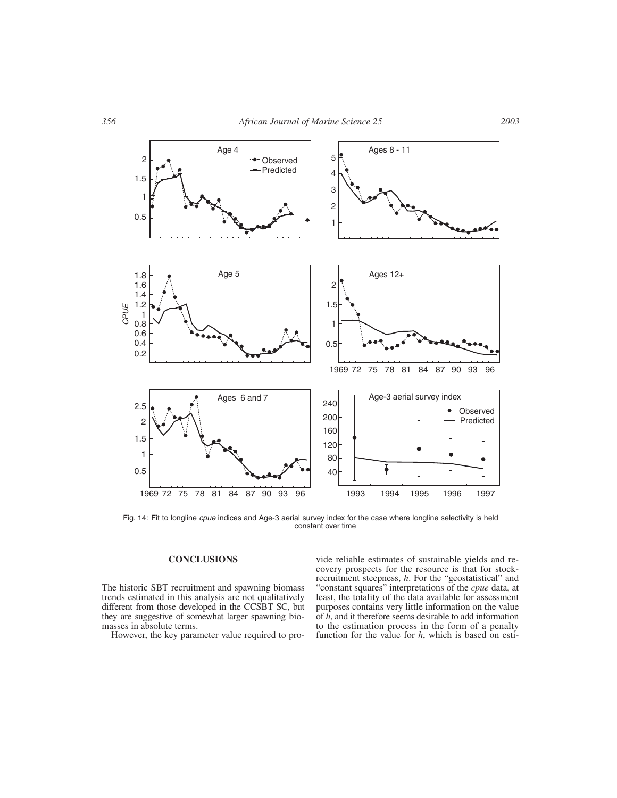

Fig. 14: Fit to longline cpue indices and Age-3 aerial survey index for the case where longline selectivity is held constant over time

# **CONCLUSIONS**

The historic SBT recruitment and spawning biomass trends estimated in this analysis are not qualitatively different from those developed in the CCSBT SC, but they are suggestive of somewhat larger spawning biomasses in absolute terms.

However, the key parameter value required to pro-

vide reliable estimates of sustainable yields and recovery prospects for the resource is that for stockrecruitment steepness, *h*. For the "geostatistical" and "constant squares" interpretations of the *cpue* data, at least, the totality of the data available for assessment purposes contains very little information on the value of *h*, and it therefore seems desirable to add information to the estimation process in the form of a penalty function for the value for *h*, which is based on esti-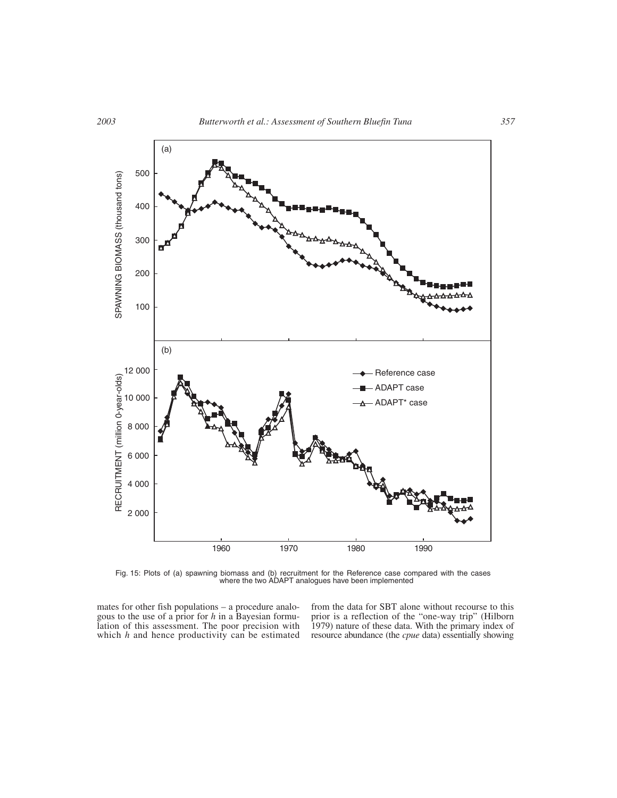

Fig. 15: Plots of (a) spawning biomass and (b) recruitment for the Reference case compared with the cases where the two ADAPT analogues have been implemented

mates for other fish populations – a procedure analogous to the use of a prior for *h* in a Bayesian formulation of this assessment. The poor precision with which *h* and hence productivity can be estimated

from the data for SBT alone without recourse to this prior is a reflection of the "one-way trip" (Hilborn 1979) nature of these data. With the primary index of resource abundance (the *cpue* data) essentially showing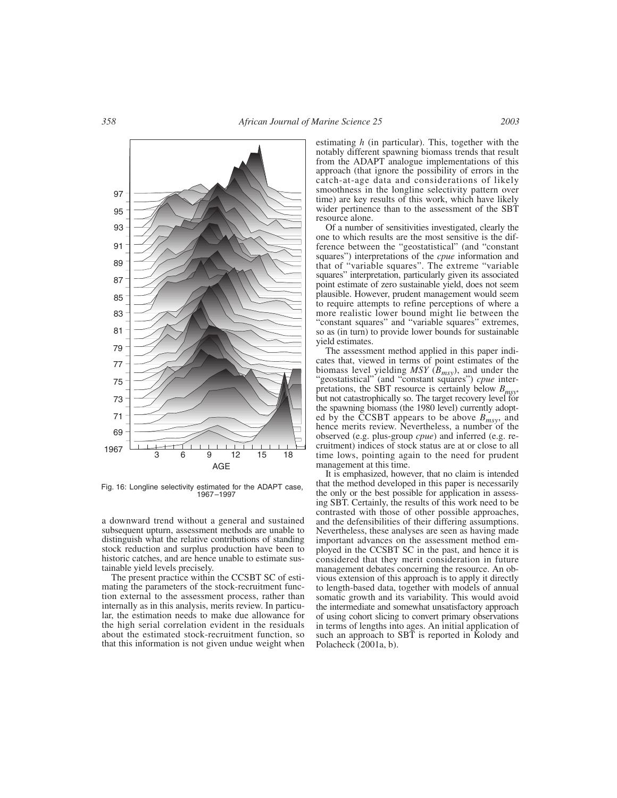

Fig. 16: Longline selectivity estimated for the ADAPT case, 1967–1997

a downward trend without a general and sustained subsequent upturn, assessment methods are unable to distinguish what the relative contributions of standing stock reduction and surplus production have been to historic catches, and are hence unable to estimate sustainable yield levels precisely.

The present practice within the CCSBT SC of estimating the parameters of the stock-recruitment function external to the assessment process, rather than internally as in this analysis, merits review. In particular, the estimation needs to make due allowance for the high serial correlation evident in the residuals about the estimated stock-recruitment function, so that this information is not given undue weight when estimating *h* (in particular). This, together with the notably different spawning biomass trends that result from the ADAPT analogue implementations of this approach (that ignore the possibility of errors in the catch-at-age data and considerations of likely smoothness in the longline selectivity pattern over time) are key results of this work, which have likely wider pertinence than to the assessment of the SBT resource alone.

Of a number of sensitivities investigated, clearly the one to which results are the most sensitive is the difference between the "geostatistical" (and "constant squares") interpretations of the *cpue* information and that of "variable squares". The extreme "variable squares" interpretation, particularly given its associated point estimate of zero sustainable yield, does not seem plausible. However, prudent management would seem to require attempts to refine perceptions of where a more realistic lower bound might lie between the "constant squares" and "variable squares" extremes, so as (in turn) to provide lower bounds for sustainable yield estimates.

The assessment method applied in this paper indicates that, viewed in terms of point estimates of the biomass level yielding *MSY* (*Bmsy*), and under the "geostatistical" (and "constant squares") *cpue* interpretations, the SBT resource is certainly below *Bmsy*, but not catastrophically so. The target recovery level for the spawning biomass (the 1980 level) currently adopted by the CCSBT appears to be above  $B_{msv}$ , and hence merits review. Nevertheless, a number of the observed (e.g. plus-group *cpue*) and inferred (e.g. recruitment) indices of stock status are at or close to all time lows, pointing again to the need for prudent management at this time.

It is emphasized, however, that no claim is intended that the method developed in this paper is necessarily the only or the best possible for application in assessing SBT. Certainly, the results of this work need to be contrasted with those of other possible approaches, and the defensibilities of their differing assumptions. Nevertheless, these analyses are seen as having made important advances on the assessment method employed in the CCSBT SC in the past, and hence it is considered that they merit consideration in future management debates concerning the resource. An obvious extension of this approach is to apply it directly to length-based data, together with models of annual somatic growth and its variability. This would avoid the intermediate and somewhat unsatisfactory approach of using cohort slicing to convert primary observations in terms of lengths into ages. An initial application of such an approach to SBT is reported in Kolody and Polacheck (2001a, b).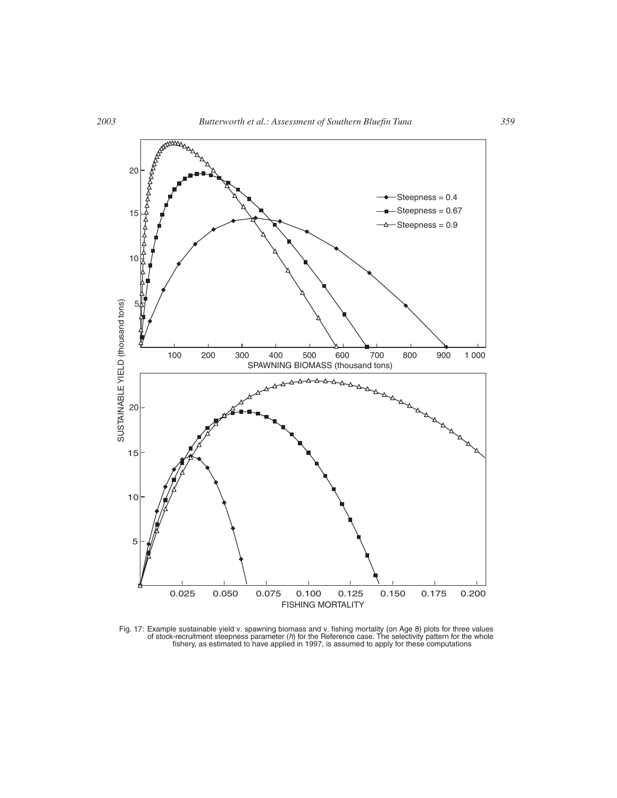

Fig. 17: Example sustainable yield v. spawning biomass and v. fishing mortality (on Age 8) plots for three values<br>of stock-recruitment steepness parameter (h) for the Reference case. The selectivity pattern for the whole<br>f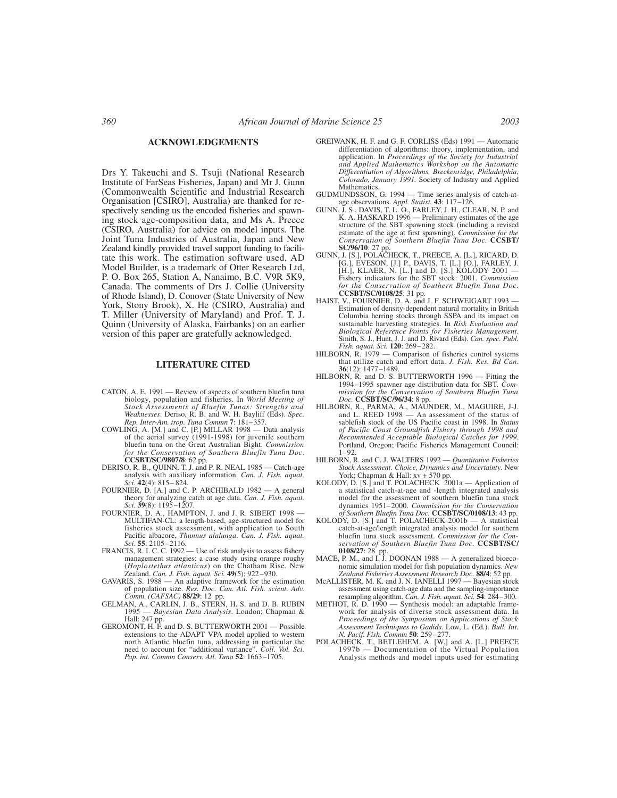#### **ACKNOWLEDGEMENTS**

Drs Y. Takeuchi and S. Tsuji (National Research Institute of FarSeas Fisheries, Japan) and Mr J. Gunn (Commonwealth Scientific and Industrial Research Organisation [CSIRO], Australia) are thanked for respectively sending us the encoded fisheries and spawning stock age-composition data, and Ms A. Preece (CSIRO, Australia) for advice on model inputs. The Joint Tuna Industries of Australia, Japan and New Zealand kindly provided travel support funding to facilitate this work. The estimation software used, AD Model Builder, is a trademark of Otter Research Ltd, P. O. Box 265, Station A, Nanaimo, B.C. V9R 5K9, Canada. The comments of Drs J. Collie (University of Rhode Island), D. Conover (State University of New York, Stony Brook), X. He (CSIRO, Australia) and T. Miller (University of Maryland) and Prof. T. J. Quinn (University of Alaska, Fairbanks) on an earlier version of this paper are gratefully acknowledged.

## **LITERATURE CITED**

- CATON, A. E. 1991 Review of aspects of southern bluefin tuna biology, population and fisheries. In *World Meeting of Stock Assessments of Bluefin Tunas: Strengths and Weaknesses*. Deriso, R. B. and W. H. Bayliff (Eds). *Spec. Rep. Inter-Am. trop. Tuna Commn* **7**: 181–357.
- COWLING, A. [M.] and C. [P.] MILLAR 1998 Data analysis of the aerial survey (1991-1998) for juvenile southern bluefin tuna on the Great Australian Bight. *Commission for the Conservation of Southern Bluefin Tuna Doc*. **CCSBT/SC/9807/8**: 62 pp.
- DERISO, R. B., QUINN, T. J. and P. R. NEAL 1985 Catch-age analysis with auxiliary information. *Can. J. Fish. aquat. Sci*. **42**(4): 815– 824.
- FOURNIER, D. [A.] and C. P. ARCHIBALD 1982 A general theory for analyzing catch at age data. *Can. J. Fish. aquat. Sci*. **39**(8): 1195–1207.
- FOURNIER, D. A., HAMPTON, J. and J. R. SIBERT 1998 MULTIFAN-CL: a length-based, age-structured model for fisheries stock assessment, with application to South Pacific albacore, *Thunnus alalunga*. *Can. J. Fish. aquat. Sci*. **55**: 2105–2116.
- FRANCIS, R. I. C. C. 1992 Use of risk analysis to assess fishery management strategies: a case study using orange roughy (*Hoplostethus atlanticus*) on the Chatham Rise, New Zealand. *Can. J. Fish. aquat. Sci.* **49**(5): 922–930.
- GAVARIS, S. 1988 An adaptive framework for the estimation
- of population size. *Res. Doc. Can. Atl. Fish. scient. Adv.*<br> *Comm. (CAFSAC)* **88/29**: 12 pp.<br> **GELMAN, A., CARLIN, J. B., STERN, H. S. and D. B. RUBIN<br>
1995** *Bayesian Data Analysis***. London; Chapman &**
- Hall: 247 pp. GEROMONT, H. F. and D. S. BUTTERWORTH 2001 Possible extensions to the ADAPT VPA model applied to western north Atlantic bluefin tuna, addressing in particular the need to account for "additional variance". *Coll. Vol. Sci. Pap. int. Commn Conserv. Atl. Tuna* **52**: 1663–1705.
- GREIWANK, H. F. and G. F. CORLISS (Eds) 1991 Automatic differentiation of algorithms: theory, implementation, and application. In *Proceedings of the Society for Industrial and Applied Mathematics Workshop on the Automatic Differentiation of Algorithms, Breckenridge, Philadelphia, Colorado, January 1991.* Society of Industry and Applied **Mathematics**
- GUDMUNDSSON, G. 1994 Time series analysis of catch-atage observations. *Appl. Statist.* **43**: 117–126.
- GUNN, J. S., DAVIS, T. L. O., FARLEY, J. H., CLEAR, N. P. and K. A. HASKARD 1996 — Preliminary estimates of the age structure of the SBT spawning stock (including a revised estimate of the age at first spawning). *Commission for the Conservation of Southern Bluefin Tuna Doc.* **CCSBT/**
- **SC/96/10**: 27 pp. GUNN, J. [S.], POLACHECK, T., PREECE, A. [L.], RICARD, D. [G.], EVESON, [J.] P., DAVIS, T. [L.] [O.], FARLEY, J. [H.], KLAER, N. [L.] and D. [S.] KOLODY 2001 — Fishery indicators for the SBT stock: 2001. *Commission for the Conservation of Southern Bluefin Tuna Doc.* **CCSBT/SC/0108/25**: 31 pp.
- HAIST, V., FOURNIER, D. A. and J. F. SCHWEIGART 1993 -Estimation of density-dependent natural mortality in British Columbia herring stocks through SSPA and its impact on sustainable harvesting strategies. In *Risk Evaluation and Biological Reference Points for Fisheries Management*. Smith, S. J., Hunt, J. J. and D. Rivard (Eds). *Can. spec. Publ. Fish. aquat. Sci.* **120**: 269–282. HILBORN, R. 1979 — Comparison of fisheries control systems
- that utilize catch and effort data. *J. Fish. Res. Bd Can*. **<sup>36</sup>**(12): 1477–1489.
- HILBORN, R. and D. S. BUTTERWORTH 1996 Fitting the 1994–1995 spawner age distribution data for SBT. *Commission for the Conservation of Southern Bluefin Tuna Doc.* **CCSBT/SC/96/34**: 8 pp.
- HILBORN, R., PARMA, A., MAUNDER, M., MAGUIRE, J-J. and L. REED 1998 An assessment of the status of sablefish stock of the US Pacific coast in 1998. In *Status of Pacific Coast Groundfish Fishery through 1998 and Recommended Acceptable Biological Catches for 1999*. Portland, Oregon; Pacific Fisheries Management Council: 1–92.
- HILBORN, R. and C. J. WALTERS 1992 *Quantitative Fisheries Stock Assessment. Choice, Dynamics and Uncertainty*. New
- York; Chapman & Hall: xv + 570 pp. KOLODY, D. [S.] and T. POLACHECK 2001a Application of a statistical catch-at-age and -length integrated analysis model for the assessment of southern bluefin tuna stock dynamics 1951–2000. *Commission for the Conservation of Southern Bluefin Tuna Doc.* **CCSBT/SC/0108/13**: 43 pp.
- KOLODY, D. [S.] and T. POLACHECK 2001b A statistical catch-at-age/length integrated analysis model for southern bluefin tuna stock assessment. *Commission for the Conservation of Southern Bluefin Tuna Doc.* **CCSBT/SC/**
- **0108/27**: 28 pp.<br>MACE, P. M., and I. J. DOONAN 1988 A generalized bioeconomic simulation model for fish population dynamics. *New Zealand Fisheries Assessment Research Doc.* **88/4**: 52 pp.
- McALLISTER, M. K. and J. N. IANELLI 1997 Bayesian stock assessment using catch-age data and the sampling-importance
- resampling algorithm. *Can. J. Fish. aquat. Sci.* **54**: 284–300. METHOT, R. D. 1990 Synthesis model: an adaptable framework for analysis of diverse stock assessment data. In *Proceedings of the Symposium on Applications of Stock Assessment Techniques to Gadids*. Low, L. (Ed.). *Bull. Int.*
- *N. Pacif. Fish. Commn* **50**: 259–277. POLACHECK, T., BETLEHEM, A. [W.] and A. [L.] PREECE 1997b — Documentation of the Virtual Population Analysis methods and model inputs used for estimating